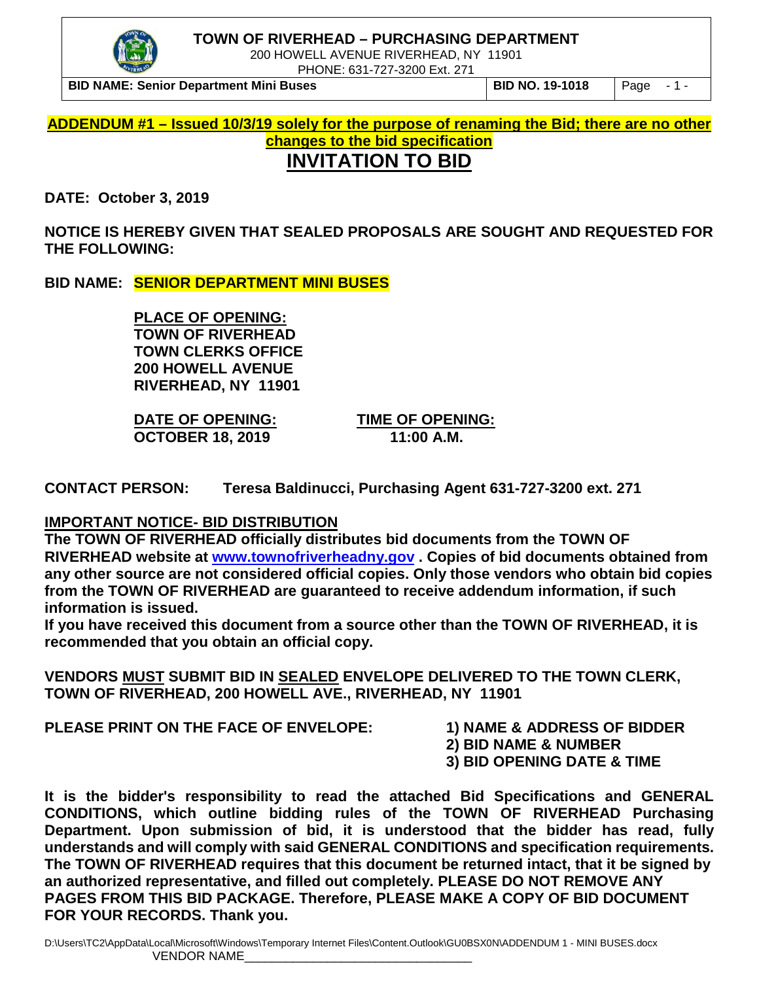



200 HOWELL AVENUE RIVERHEAD, NY 11901

PHONE: 631-727-3200 Ext. 271

**BID NAME: Senior Department Mini Buses BID NO. 19-1018** Page - 1 -

**ADDENDUM #1 – Issued 10/3/19 solely for the purpose of renaming the Bid; there are no other changes to the bid specification INVITATION TO BID** 

**DATE: October 3, 2019**

**NOTICE IS HEREBY GIVEN THAT SEALED PROPOSALS ARE SOUGHT AND REQUESTED FOR THE FOLLOWING:**

**BID NAME: SENIOR DEPARTMENT MINI BUSES**

**PLACE OF OPENING: TOWN OF RIVERHEAD TOWN CLERKS OFFICE 200 HOWELL AVENUE RIVERHEAD, NY 11901**

**DATE OF OPENING: TIME OF OPENING: OCTOBER 18, 2019** 

**CONTACT PERSON: Teresa Baldinucci, Purchasing Agent 631-727-3200 ext. 271**

## **IMPORTANT NOTICE- BID DISTRIBUTION**

**The TOWN OF RIVERHEAD officially distributes bid documents from the TOWN OF RIVERHEAD website at [www.townofriverheadny.gov](http://www.townofriverheadny.gov/) . Copies of bid documents obtained from any other source are not considered official copies. Only those vendors who obtain bid copies from the TOWN OF RIVERHEAD are guaranteed to receive addendum information, if such information is issued.**

**If you have received this document from a source other than the TOWN OF RIVERHEAD, it is recommended that you obtain an official copy.**

**VENDORS MUST SUBMIT BID IN SEALED ENVELOPE DELIVERED TO THE TOWN CLERK, TOWN OF RIVERHEAD, 200 HOWELL AVE., RIVERHEAD, NY 11901**

**PLEASE PRINT ON THE FACE OF ENVELOPE: 1) NAME & ADDRESS OF BIDDER**

- 
- **2) BID NAME & NUMBER**
- **3) BID OPENING DATE & TIME**

**It is the bidder's responsibility to read the attached Bid Specifications and GENERAL CONDITIONS, which outline bidding rules of the TOWN OF RIVERHEAD Purchasing Department. Upon submission of bid, it is understood that the bidder has read, fully understands and will comply with said GENERAL CONDITIONS and specification requirements. The TOWN OF RIVERHEAD requires that this document be returned intact, that it be signed by an authorized representative, and filled out completely. PLEASE DO NOT REMOVE ANY PAGES FROM THIS BID PACKAGE. Therefore, PLEASE MAKE A COPY OF BID DOCUMENT FOR YOUR RECORDS. Thank you.**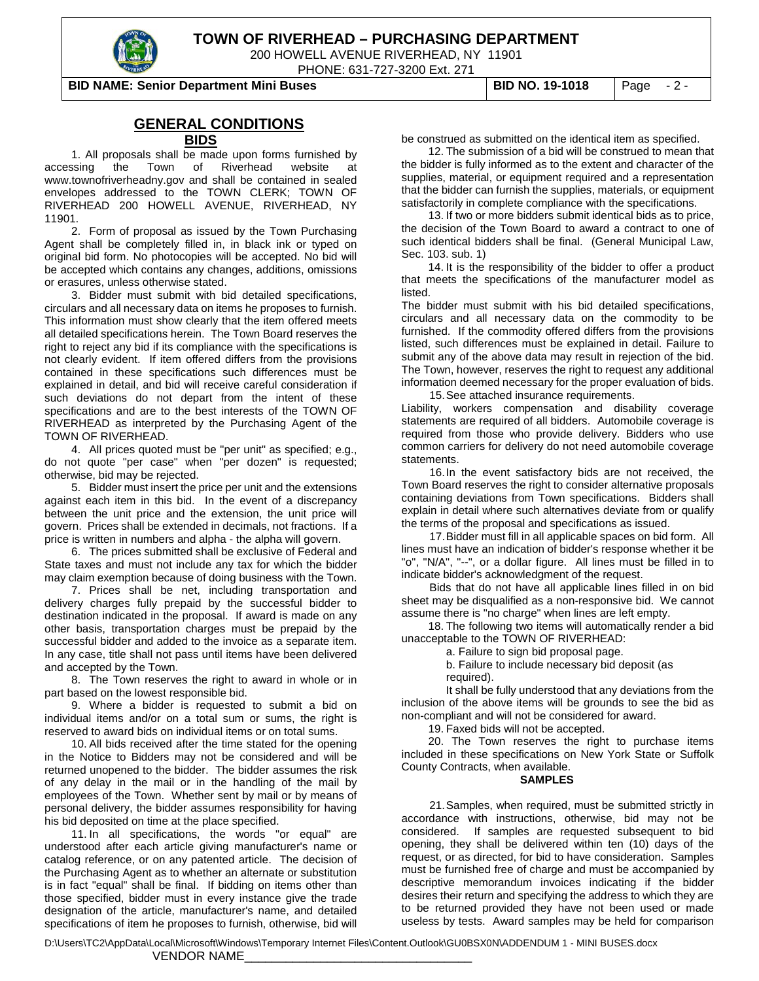

200 HOWELL AVENUE RIVERHEAD, NY 11901

PHONE: 631-727-3200 Ext. 271

**BID NAME: Senior Department Mini Buses BID NO. 19-1018** Page - 2 -

#### **GENERAL CONDITIONS**

#### **BIDS**

1. All proposals shall be made upon forms furnished by accessing the Town of Riverhead website at www.townofriverheadny.gov and shall be contained in sealed envelopes addressed to the TOWN CLERK; TOWN OF RIVERHEAD 200 HOWELL AVENUE, RIVERHEAD, NY 11901.

2. Form of proposal as issued by the Town Purchasing Agent shall be completely filled in, in black ink or typed on original bid form. No photocopies will be accepted. No bid will be accepted which contains any changes, additions, omissions or erasures, unless otherwise stated.

3. Bidder must submit with bid detailed specifications, circulars and all necessary data on items he proposes to furnish. This information must show clearly that the item offered meets all detailed specifications herein. The Town Board reserves the right to reject any bid if its compliance with the specifications is not clearly evident. If item offered differs from the provisions contained in these specifications such differences must be explained in detail, and bid will receive careful consideration if such deviations do not depart from the intent of these specifications and are to the best interests of the TOWN OF RIVERHEAD as interpreted by the Purchasing Agent of the TOWN OF RIVERHEAD.

4. All prices quoted must be "per unit" as specified; e.g., do not quote "per case" when "per dozen" is requested; otherwise, bid may be rejected.

5. Bidder must insert the price per unit and the extensions against each item in this bid. In the event of a discrepancy between the unit price and the extension, the unit price will govern. Prices shall be extended in decimals, not fractions. If a price is written in numbers and alpha - the alpha will govern.

6. The prices submitted shall be exclusive of Federal and State taxes and must not include any tax for which the bidder may claim exemption because of doing business with the Town.

7. Prices shall be net, including transportation and delivery charges fully prepaid by the successful bidder to destination indicated in the proposal. If award is made on any other basis, transportation charges must be prepaid by the successful bidder and added to the invoice as a separate item. In any case, title shall not pass until items have been delivered and accepted by the Town.

8. The Town reserves the right to award in whole or in part based on the lowest responsible bid.

9. Where a bidder is requested to submit a bid on individual items and/or on a total sum or sums, the right is reserved to award bids on individual items or on total sums.

10. All bids received after the time stated for the opening in the Notice to Bidders may not be considered and will be returned unopened to the bidder. The bidder assumes the risk of any delay in the mail or in the handling of the mail by employees of the Town. Whether sent by mail or by means of personal delivery, the bidder assumes responsibility for having his bid deposited on time at the place specified.

11. In all specifications, the words "or equal" are understood after each article giving manufacturer's name or catalog reference, or on any patented article. The decision of the Purchasing Agent as to whether an alternate or substitution is in fact "equal" shall be final. If bidding on items other than those specified, bidder must in every instance give the trade designation of the article, manufacturer's name, and detailed specifications of item he proposes to furnish, otherwise, bid will

be construed as submitted on the identical item as specified.

12. The submission of a bid will be construed to mean that the bidder is fully informed as to the extent and character of the supplies, material, or equipment required and a representation that the bidder can furnish the supplies, materials, or equipment satisfactorily in complete compliance with the specifications.

13. If two or more bidders submit identical bids as to price, the decision of the Town Board to award a contract to one of such identical bidders shall be final. (General Municipal Law, Sec. 103. sub. 1)

14. It is the responsibility of the bidder to offer a product that meets the specifications of the manufacturer model as listed.

The bidder must submit with his bid detailed specifications, circulars and all necessary data on the commodity to be furnished. If the commodity offered differs from the provisions listed, such differences must be explained in detail. Failure to submit any of the above data may result in rejection of the bid. The Town, however, reserves the right to request any additional information deemed necessary for the proper evaluation of bids. 15.See attached insurance requirements.

Liability, workers compensation and disability coverage statements are required of all bidders. Automobile coverage is required from those who provide delivery. Bidders who use common carriers for delivery do not need automobile coverage statements.

16.In the event satisfactory bids are not received, the Town Board reserves the right to consider alternative proposals containing deviations from Town specifications. Bidders shall explain in detail where such alternatives deviate from or qualify the terms of the proposal and specifications as issued.

17.Bidder must fill in all applicable spaces on bid form. All lines must have an indication of bidder's response whether it be "o", "N/A", "--", or a dollar figure. All lines must be filled in to indicate bidder's acknowledgment of the request.

Bids that do not have all applicable lines filled in on bid sheet may be disqualified as a non-responsive bid. We cannot assume there is "no charge" when lines are left empty.

18. The following two items will automatically render a bid unacceptable to the TOWN OF RIVERHEAD:

a. Failure to sign bid proposal page.

b. Failure to include necessary bid deposit (as required).

It shall be fully understood that any deviations from the inclusion of the above items will be grounds to see the bid as non-compliant and will not be considered for award.

19. Faxed bids will not be accepted.

20. The Town reserves the right to purchase items included in these specifications on New York State or Suffolk County Contracts, when available.

#### **SAMPLES**

21.Samples, when required, must be submitted strictly in accordance with instructions, otherwise, bid may not be considered. If samples are requested subsequent to bid If samples are requested subsequent to bid opening, they shall be delivered within ten (10) days of the request, or as directed, for bid to have consideration. Samples must be furnished free of charge and must be accompanied by descriptive memorandum invoices indicating if the bidder desires their return and specifying the address to which they are to be returned provided they have not been used or made useless by tests. Award samples may be held for comparison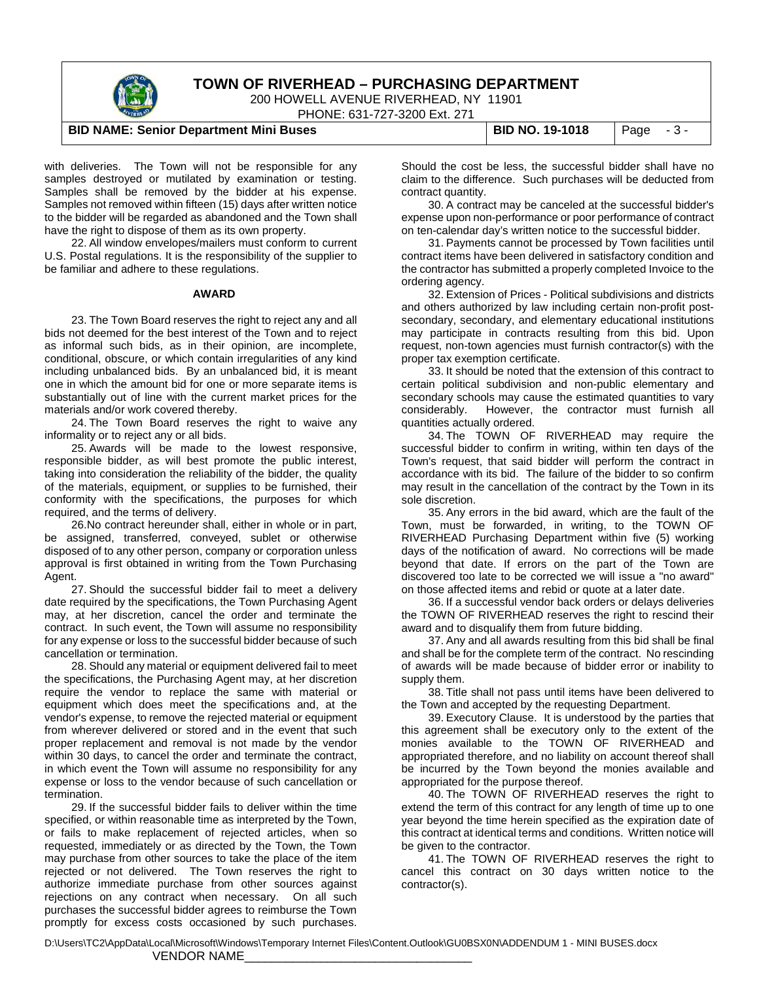

200 HOWELL AVENUE RIVERHEAD, NY 11901

PHONE: 631-727-3200 Ext. 271

#### **BID NAME: Senior Department Mini Buses BID NO. 19-1018** Page - 3 -

with deliveries. The Town will not be responsible for any samples destroyed or mutilated by examination or testing. Samples shall be removed by the bidder at his expense. Samples not removed within fifteen (15) days after written notice to the bidder will be regarded as abandoned and the Town shall have the right to dispose of them as its own property.

22. All window envelopes/mailers must conform to current U.S. Postal regulations. It is the responsibility of the supplier to be familiar and adhere to these regulations.

#### **AWARD**

23. The Town Board reserves the right to reject any and all bids not deemed for the best interest of the Town and to reject as informal such bids, as in their opinion, are incomplete, conditional, obscure, or which contain irregularities of any kind including unbalanced bids. By an unbalanced bid, it is meant one in which the amount bid for one or more separate items is substantially out of line with the current market prices for the materials and/or work covered thereby.

24. The Town Board reserves the right to waive any informality or to reject any or all bids.

25. Awards will be made to the lowest responsive, responsible bidder, as will best promote the public interest, taking into consideration the reliability of the bidder, the quality of the materials, equipment, or supplies to be furnished, their conformity with the specifications, the purposes for which required, and the terms of delivery.

26.No contract hereunder shall, either in whole or in part, be assigned, transferred, conveyed, sublet or otherwise disposed of to any other person, company or corporation unless approval is first obtained in writing from the Town Purchasing Agent.

27. Should the successful bidder fail to meet a delivery date required by the specifications, the Town Purchasing Agent may, at her discretion, cancel the order and terminate the contract. In such event, the Town will assume no responsibility for any expense or loss to the successful bidder because of such cancellation or termination.

28. Should any material or equipment delivered fail to meet the specifications, the Purchasing Agent may, at her discretion require the vendor to replace the same with material or equipment which does meet the specifications and, at the vendor's expense, to remove the rejected material or equipment from wherever delivered or stored and in the event that such proper replacement and removal is not made by the vendor within 30 days, to cancel the order and terminate the contract, in which event the Town will assume no responsibility for any expense or loss to the vendor because of such cancellation or termination.

29. If the successful bidder fails to deliver within the time specified, or within reasonable time as interpreted by the Town, or fails to make replacement of rejected articles, when so requested, immediately or as directed by the Town, the Town may purchase from other sources to take the place of the item rejected or not delivered. The Town reserves the right to authorize immediate purchase from other sources against rejections on any contract when necessary. On all such purchases the successful bidder agrees to reimburse the Town promptly for excess costs occasioned by such purchases.

Should the cost be less, the successful bidder shall have no claim to the difference. Such purchases will be deducted from contract quantity.

30. A contract may be canceled at the successful bidder's expense upon non-performance or poor performance of contract on ten-calendar day's written notice to the successful bidder.

31. Payments cannot be processed by Town facilities until contract items have been delivered in satisfactory condition and the contractor has submitted a properly completed Invoice to the ordering agency.

32. Extension of Prices - Political subdivisions and districts and others authorized by law including certain non-profit postsecondary, secondary, and elementary educational institutions may participate in contracts resulting from this bid. Upon request, non-town agencies must furnish contractor(s) with the proper tax exemption certificate.

33. It should be noted that the extension of this contract to certain political subdivision and non-public elementary and secondary schools may cause the estimated quantities to vary considerably. However, the contractor must furnish all quantities actually ordered.

34. The TOWN OF RIVERHEAD may require the successful bidder to confirm in writing, within ten days of the Town's request, that said bidder will perform the contract in accordance with its bid. The failure of the bidder to so confirm may result in the cancellation of the contract by the Town in its sole discretion.

35. Any errors in the bid award, which are the fault of the Town, must be forwarded, in writing, to the TOWN OF RIVERHEAD Purchasing Department within five (5) working days of the notification of award. No corrections will be made beyond that date. If errors on the part of the Town are discovered too late to be corrected we will issue a "no award" on those affected items and rebid or quote at a later date.

36. If a successful vendor back orders or delays deliveries the TOWN OF RIVERHEAD reserves the right to rescind their award and to disqualify them from future bidding.

37. Any and all awards resulting from this bid shall be final and shall be for the complete term of the contract. No rescinding of awards will be made because of bidder error or inability to supply them.

38. Title shall not pass until items have been delivered to the Town and accepted by the requesting Department.

39. Executory Clause. It is understood by the parties that this agreement shall be executory only to the extent of the monies available to the TOWN OF RIVERHEAD and appropriated therefore, and no liability on account thereof shall be incurred by the Town beyond the monies available and appropriated for the purpose thereof.

40. The TOWN OF RIVERHEAD reserves the right to extend the term of this contract for any length of time up to one year beyond the time herein specified as the expiration date of this contract at identical terms and conditions. Written notice will be given to the contractor.

41. The TOWN OF RIVERHEAD reserves the right to cancel this contract on 30 days written notice to the contractor(s).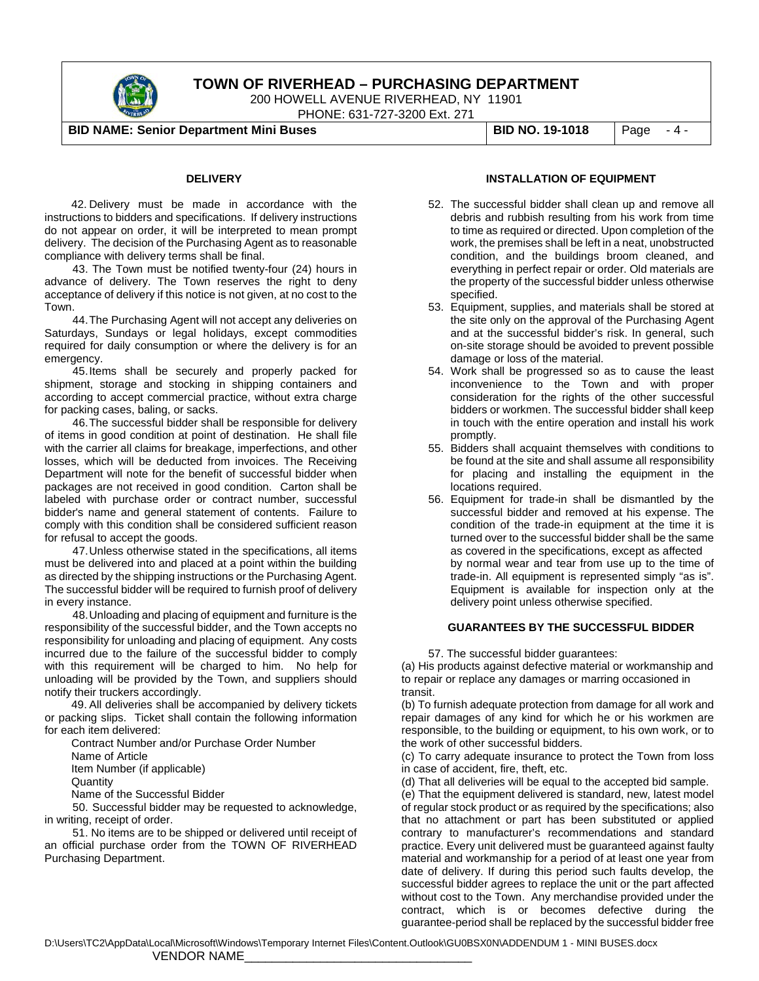

200 HOWELL AVENUE RIVERHEAD, NY 11901

PHONE: 631-727-3200 Ext. 271

**BID NAME: Senior Department Mini Buses BID NO. 19-1018** Page - 4 -

#### **DELIVERY**

42. Delivery must be made in accordance with the instructions to bidders and specifications. If delivery instructions do not appear on order, it will be interpreted to mean prompt delivery. The decision of the Purchasing Agent as to reasonable compliance with delivery terms shall be final.

 43. The Town must be notified twenty-four (24) hours in advance of delivery. The Town reserves the right to deny acceptance of delivery if this notice is not given, at no cost to the Town.

44.The Purchasing Agent will not accept any deliveries on Saturdays, Sundays or legal holidays, except commodities required for daily consumption or where the delivery is for an emergency.

45.Items shall be securely and properly packed for shipment, storage and stocking in shipping containers and according to accept commercial practice, without extra charge for packing cases, baling, or sacks.

46.The successful bidder shall be responsible for delivery of items in good condition at point of destination. He shall file with the carrier all claims for breakage, imperfections, and other losses, which will be deducted from invoices. The Receiving Department will note for the benefit of successful bidder when packages are not received in good condition. Carton shall be labeled with purchase order or contract number, successful bidder's name and general statement of contents. Failure to comply with this condition shall be considered sufficient reason for refusal to accept the goods.

47.Unless otherwise stated in the specifications, all items must be delivered into and placed at a point within the building as directed by the shipping instructions or the Purchasing Agent. The successful bidder will be required to furnish proof of delivery in every instance.

48.Unloading and placing of equipment and furniture is the responsibility of the successful bidder, and the Town accepts no responsibility for unloading and placing of equipment. Any costs incurred due to the failure of the successful bidder to comply with this requirement will be charged to him. No help for unloading will be provided by the Town, and suppliers should notify their truckers accordingly.

49. All deliveries shall be accompanied by delivery tickets or packing slips. Ticket shall contain the following information for each item delivered:

Contract Number and/or Purchase Order Number Name of Article Item Number (if applicable) **Quantity** Name of the Successful Bidder

 50. Successful bidder may be requested to acknowledge, in writing, receipt of order.

 51. No items are to be shipped or delivered until receipt of an official purchase order from the TOWN OF RIVERHEAD Purchasing Department.

#### **INSTALLATION OF EQUIPMENT**

- 52. The successful bidder shall clean up and remove all debris and rubbish resulting from his work from time to time as required or directed. Upon completion of the work, the premises shall be left in a neat, unobstructed condition, and the buildings broom cleaned, and everything in perfect repair or order. Old materials are the property of the successful bidder unless otherwise specified.
- 53. Equipment, supplies, and materials shall be stored at the site only on the approval of the Purchasing Agent and at the successful bidder's risk. In general, such on-site storage should be avoided to prevent possible damage or loss of the material.
- 54. Work shall be progressed so as to cause the least inconvenience to the Town and with proper consideration for the rights of the other successful bidders or workmen. The successful bidder shall keep in touch with the entire operation and install his work promptly.
- 55. Bidders shall acquaint themselves with conditions to be found at the site and shall assume all responsibility for placing and installing the equipment in the locations required.
- 56. Equipment for trade-in shall be dismantled by the successful bidder and removed at his expense. The condition of the trade-in equipment at the time it is turned over to the successful bidder shall be the same as covered in the specifications, except as affected by normal wear and tear from use up to the time of trade-in. All equipment is represented simply "as is". Equipment is available for inspection only at the delivery point unless otherwise specified.

#### **GUARANTEES BY THE SUCCESSFUL BIDDER**

57. The successful bidder guarantees:

(a) His products against defective material or workmanship and to repair or replace any damages or marring occasioned in transit.

(b) To furnish adequate protection from damage for all work and repair damages of any kind for which he or his workmen are responsible, to the building or equipment, to his own work, or to the work of other successful bidders.

(c) To carry adequate insurance to protect the Town from loss in case of accident, fire, theft, etc.

(d) That all deliveries will be equal to the accepted bid sample.

(e) That the equipment delivered is standard, new, latest model of regular stock product or as required by the specifications; also that no attachment or part has been substituted or applied contrary to manufacturer's recommendations and standard practice. Every unit delivered must be guaranteed against faulty material and workmanship for a period of at least one year from date of delivery. If during this period such faults develop, the successful bidder agrees to replace the unit or the part affected without cost to the Town. Any merchandise provided under the contract, which is or becomes defective during the guarantee-period shall be replaced by the successful bidder free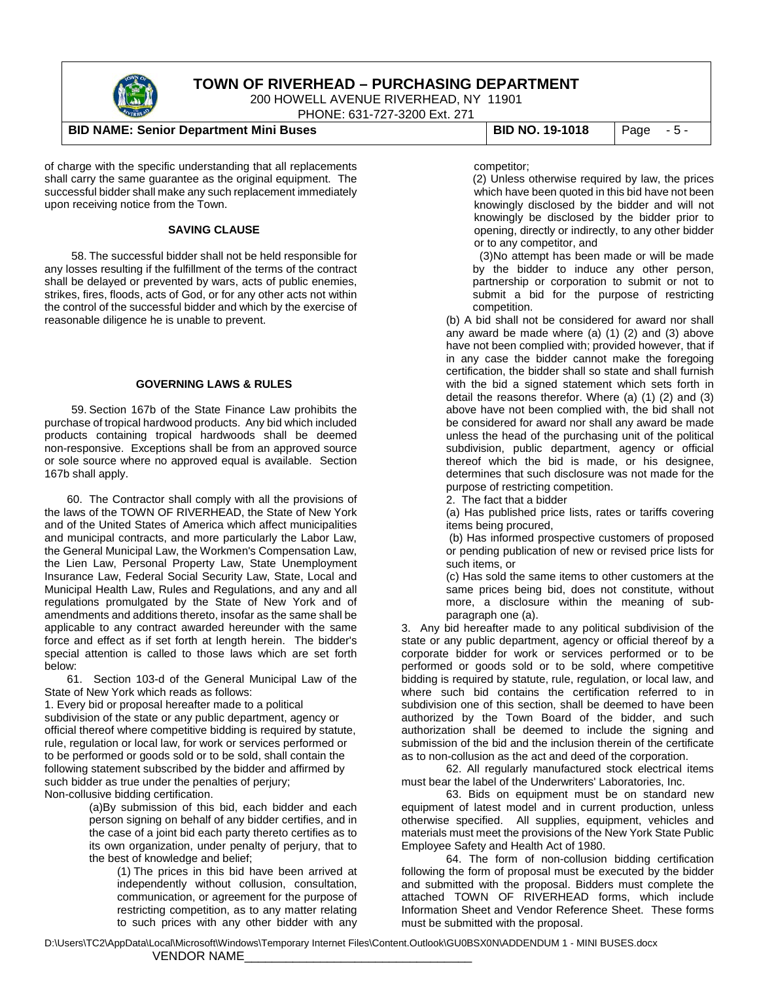

200 HOWELL AVENUE RIVERHEAD, NY 11901

PHONE: 631-727-3200 Ext. 271

#### **BID NAME: Senior Department Mini Buses BID NO. 19-1018** Page - 5 -

of charge with the specific understanding that all replacements shall carry the same guarantee as the original equipment. The successful bidder shall make any such replacement immediately upon receiving notice from the Town.

#### **SAVING CLAUSE**

58. The successful bidder shall not be held responsible for any losses resulting if the fulfillment of the terms of the contract shall be delayed or prevented by wars, acts of public enemies, strikes, fires, floods, acts of God, or for any other acts not within the control of the successful bidder and which by the exercise of reasonable diligence he is unable to prevent.

#### **GOVERNING LAWS & RULES**

59. Section 167b of the State Finance Law prohibits the purchase of tropical hardwood products. Any bid which included products containing tropical hardwoods shall be deemed non-responsive. Exceptions shall be from an approved source or sole source where no approved equal is available. Section 167b shall apply.

60. The Contractor shall comply with all the provisions of the laws of the TOWN OF RIVERHEAD, the State of New York and of the United States of America which affect municipalities and municipal contracts, and more particularly the Labor Law, the General Municipal Law, the Workmen's Compensation Law, the Lien Law, Personal Property Law, State Unemployment Insurance Law, Federal Social Security Law, State, Local and Municipal Health Law, Rules and Regulations, and any and all regulations promulgated by the State of New York and of amendments and additions thereto, insofar as the same shall be applicable to any contract awarded hereunder with the same force and effect as if set forth at length herein. The bidder's special attention is called to those laws which are set forth below:

61. Section 103-d of the General Municipal Law of the State of New York which reads as follows:

1. Every bid or proposal hereafter made to a political subdivision of the state or any public department, agency or official thereof where competitive bidding is required by statute, rule, regulation or local law, for work or services performed or to be performed or goods sold or to be sold, shall contain the following statement subscribed by the bidder and affirmed by such bidder as true under the penalties of perjury; Non-collusive bidding certification.

> (a)By submission of this bid, each bidder and each person signing on behalf of any bidder certifies, and in the case of a joint bid each party thereto certifies as to its own organization, under penalty of perjury, that to the best of knowledge and belief;

(1) The prices in this bid have been arrived at independently without collusion, consultation, communication, or agreement for the purpose of restricting competition, as to any matter relating to such prices with any other bidder with any

#### competitor;

(2) Unless otherwise required by law, the prices which have been quoted in this bid have not been knowingly disclosed by the bidder and will not knowingly be disclosed by the bidder prior to opening, directly or indirectly, to any other bidder or to any competitor, and

(3)No attempt has been made or will be made by the bidder to induce any other person, partnership or corporation to submit or not to submit a bid for the purpose of restricting competition.

(b) A bid shall not be considered for award nor shall any award be made where (a) (1) (2) and (3) above have not been complied with; provided however, that if in any case the bidder cannot make the foregoing certification, the bidder shall so state and shall furnish with the bid a signed statement which sets forth in detail the reasons therefor. Where (a) (1) (2) and (3) above have not been complied with, the bid shall not be considered for award nor shall any award be made unless the head of the purchasing unit of the political subdivision, public department, agency or official thereof which the bid is made, or his designee, determines that such disclosure was not made for the purpose of restricting competition.

2. The fact that a bidder

(a) Has published price lists, rates or tariffs covering items being procured,

(b) Has informed prospective customers of proposed or pending publication of new or revised price lists for such items, or

(c) Has sold the same items to other customers at the same prices being bid, does not constitute, without more, a disclosure within the meaning of subparagraph one (a).

3. Any bid hereafter made to any political subdivision of the state or any public department, agency or official thereof by a corporate bidder for work or services performed or to be performed or goods sold or to be sold, where competitive bidding is required by statute, rule, regulation, or local law, and where such bid contains the certification referred to in subdivision one of this section, shall be deemed to have been authorized by the Town Board of the bidder, and such authorization shall be deemed to include the signing and submission of the bid and the inclusion therein of the certificate as to non-collusion as the act and deed of the corporation.

62. All regularly manufactured stock electrical items must bear the label of the Underwriters' Laboratories, Inc.

63. Bids on equipment must be on standard new equipment of latest model and in current production, unless otherwise specified. All supplies, equipment, vehicles and materials must meet the provisions of the New York State Public Employee Safety and Health Act of 1980.

64. The form of non-collusion bidding certification following the form of proposal must be executed by the bidder and submitted with the proposal. Bidders must complete the attached TOWN OF RIVERHEAD forms, which include Information Sheet and Vendor Reference Sheet. These forms must be submitted with the proposal.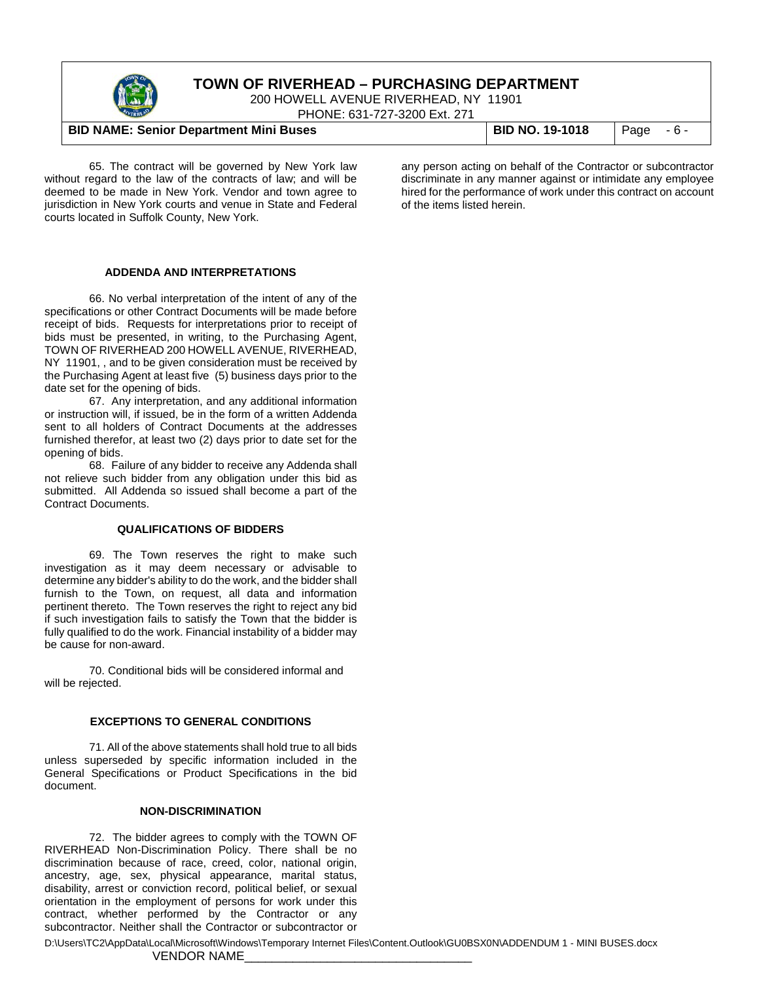

200 HOWELL AVENUE RIVERHEAD, NY 11901

PHONE: 631-727-3200 Ext. 271

#### **BID NAME: Senior Department Mini Buses BID NO. 19-1018** Page - 6 -

65. The contract will be governed by New York law without regard to the law of the contracts of law; and will be deemed to be made in New York. Vendor and town agree to jurisdiction in New York courts and venue in State and Federal courts located in Suffolk County, New York.

# **ADDENDA AND INTERPRETATIONS**

66. No verbal interpretation of the intent of any of the specifications or other Contract Documents will be made before receipt of bids. Requests for interpretations prior to receipt of bids must be presented, in writing, to the Purchasing Agent, TOWN OF RIVERHEAD 200 HOWELL AVENUE, RIVERHEAD, NY 11901, , and to be given consideration must be received by the Purchasing Agent at least five (5) business days prior to the date set for the opening of bids.

67. Any interpretation, and any additional information or instruction will, if issued, be in the form of a written Addenda sent to all holders of Contract Documents at the addresses furnished therefor, at least two (2) days prior to date set for the opening of bids.

68. Failure of any bidder to receive any Addenda shall not relieve such bidder from any obligation under this bid as submitted. All Addenda so issued shall become a part of the Contract Documents.

#### **QUALIFICATIONS OF BIDDERS**

69. The Town reserves the right to make such investigation as it may deem necessary or advisable to determine any bidder's ability to do the work, and the bidder shall furnish to the Town, on request, all data and information pertinent thereto. The Town reserves the right to reject any bid if such investigation fails to satisfy the Town that the bidder is fully qualified to do the work. Financial instability of a bidder may be cause for non-award.

70. Conditional bids will be considered informal and will be rejected.

#### **EXCEPTIONS TO GENERAL CONDITIONS**

71. All of the above statements shall hold true to all bids unless superseded by specific information included in the General Specifications or Product Specifications in the bid document.

#### **NON-DISCRIMINATION**

72. The bidder agrees to comply with the TOWN OF RIVERHEAD Non-Discrimination Policy. There shall be no discrimination because of race, creed, color, national origin, ancestry, age, sex, physical appearance, marital status, disability, arrest or conviction record, political belief, or sexual orientation in the employment of persons for work under this contract, whether performed by the Contractor or any subcontractor. Neither shall the Contractor or subcontractor or

any person acting on behalf of the Contractor or subcontractor discriminate in any manner against or intimidate any employee hired for the performance of work under this contract on account of the items listed herein.

D:\Users\TC2\AppData\Local\Microsoft\Windows\Temporary Internet Files\Content.Outlook\GU0BSX0N\ADDENDUM 1 - MINI BUSES.docx

#### VENDOR NAME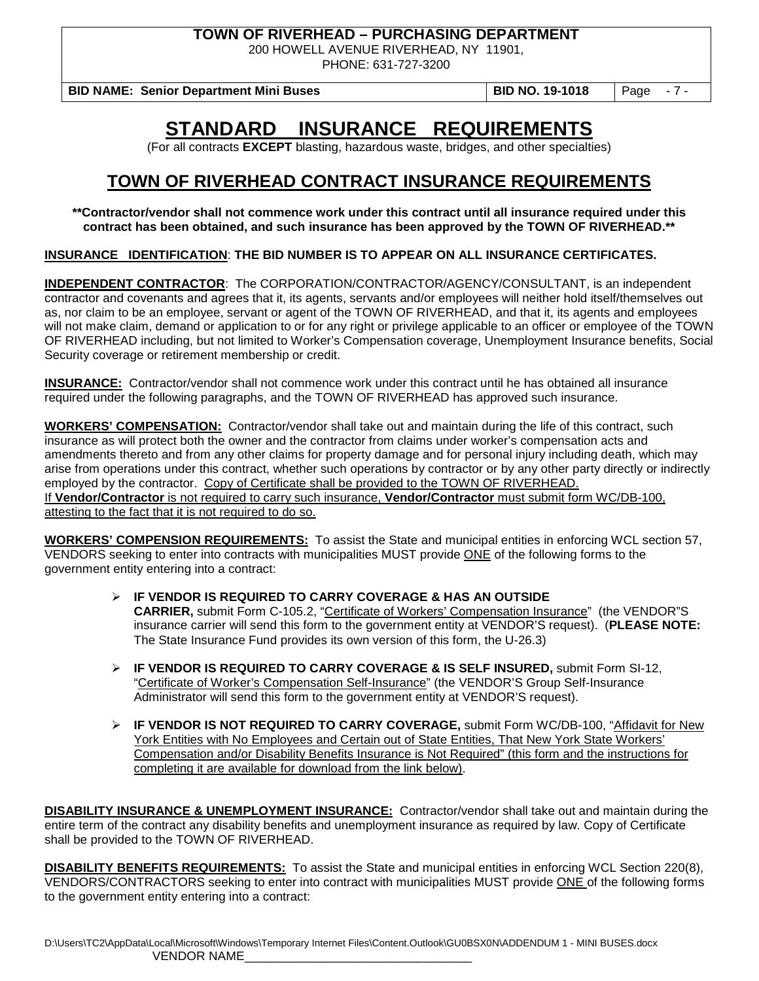200 HOWELL AVENUE RIVERHEAD, NY 11901,

PHONE: 631-727-3200

**BID NAME: Senior Department Mini Buses BID NO. 19-1018** Page - 7 -

**STANDARD INSURANCE REQUIREMENTS**

(For all contracts **EXCEPT** blasting, hazardous waste, bridges, and other specialties)

# **TOWN OF RIVERHEAD CONTRACT INSURANCE REQUIREMENTS**

**\*\*Contractor/vendor shall not commence work under this contract until all insurance required under this contract has been obtained, and such insurance has been approved by the TOWN OF RIVERHEAD.\*\***

**INSURANCE IDENTIFICATION**: **THE BID NUMBER IS TO APPEAR ON ALL INSURANCE CERTIFICATES.**

**INDEPENDENT CONTRACTOR**: The CORPORATION/CONTRACTOR/AGENCY/CONSULTANT, is an independent contractor and covenants and agrees that it, its agents, servants and/or employees will neither hold itself/themselves out as, nor claim to be an employee, servant or agent of the TOWN OF RIVERHEAD, and that it, its agents and employees will not make claim, demand or application to or for any right or privilege applicable to an officer or employee of the TOWN OF RIVERHEAD including, but not limited to Worker's Compensation coverage, Unemployment Insurance benefits, Social Security coverage or retirement membership or credit.

**INSURANCE:** Contractor/vendor shall not commence work under this contract until he has obtained all insurance required under the following paragraphs, and the TOWN OF RIVERHEAD has approved such insurance.

**WORKERS' COMPENSATION:** Contractor/vendor shall take out and maintain during the life of this contract, such insurance as will protect both the owner and the contractor from claims under worker's compensation acts and amendments thereto and from any other claims for property damage and for personal injury including death, which may arise from operations under this contract, whether such operations by contractor or by any other party directly or indirectly employed by the contractor. Copy of Certificate shall be provided to the TOWN OF RIVERHEAD. If **Vendor/Contractor** is not required to carry such insurance, **Vendor/Contractor** must submit form WC/DB-100, attesting to the fact that it is not required to do so.

**WORKERS' COMPENSION REQUIREMENTS:** To assist the State and municipal entities in enforcing WCL section 57, VENDORS seeking to enter into contracts with municipalities MUST provide ONE of the following forms to the government entity entering into a contract:

- **IF VENDOR IS REQUIRED TO CARRY COVERAGE & HAS AN OUTSIDE CARRIER,** submit Form C-105.2, "Certificate of Workers' Compensation Insurance" (the VENDOR"S insurance carrier will send this form to the government entity at VENDOR'S request). (**PLEASE NOTE:** The State Insurance Fund provides its own version of this form, the U-26.3)
- **IF VENDOR IS REQUIRED TO CARRY COVERAGE & IS SELF INSURED,** submit Form SI-12, "Certificate of Worker's Compensation Self-Insurance" (the VENDOR'S Group Self-Insurance Administrator will send this form to the government entity at VENDOR'S request).
- **IF VENDOR IS NOT REQUIRED TO CARRY COVERAGE,** submit Form WC/DB-100, "Affidavit for New York Entities with No Employees and Certain out of State Entities, That New York State Workers' Compensation and/or Disability Benefits Insurance is Not Required" (this form and the instructions for completing it are available for download from the link below).

**DISABILITY INSURANCE & UNEMPLOYMENT INSURANCE:** Contractor/vendor shall take out and maintain during the entire term of the contract any disability benefits and unemployment insurance as required by law. Copy of Certificate shall be provided to the TOWN OF RIVERHEAD.

**DISABILITY BENEFITS REQUIREMENTS:** To assist the State and municipal entities in enforcing WCL Section 220(8), VENDORS/CONTRACTORS seeking to enter into contract with municipalities MUST provide ONE of the following forms to the government entity entering into a contract: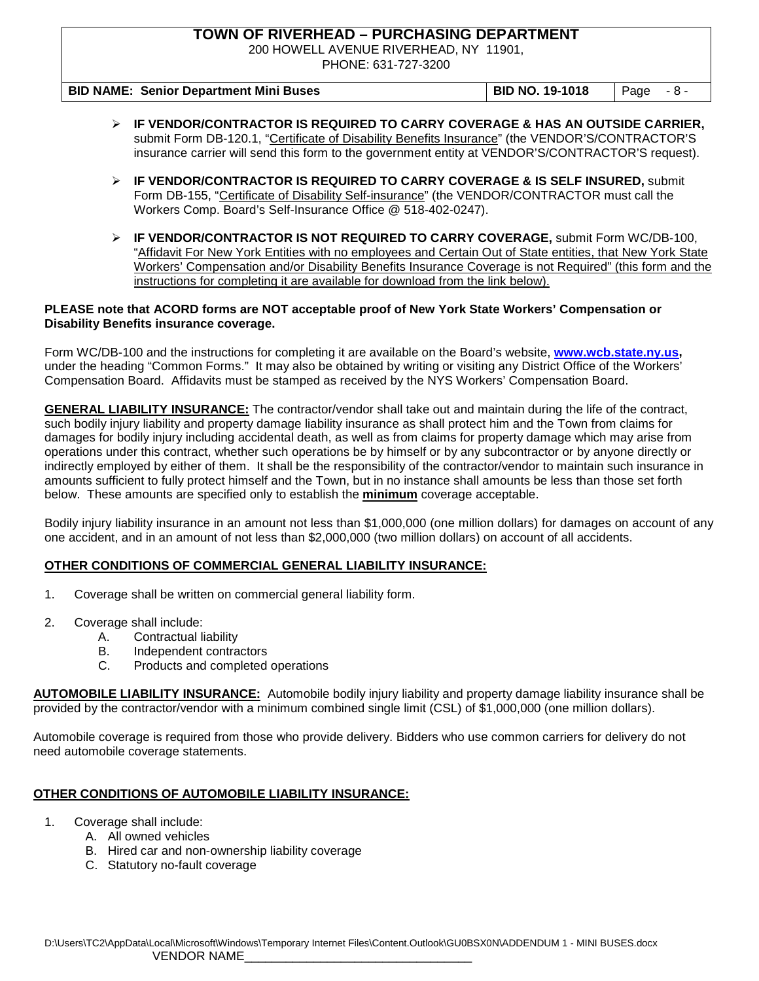200 HOWELL AVENUE RIVERHEAD, NY 11901,

PHONE: 631-727-3200

| <b>BID NAME: Senior Department Mini Buses</b> | <b>BID NO. 19-1018</b> | $\sqrt{Page - 8}$ |
|-----------------------------------------------|------------------------|-------------------|

- **IF VENDOR/CONTRACTOR IS REQUIRED TO CARRY COVERAGE & HAS AN OUTSIDE CARRIER,**  submit Form DB-120.1, "Certificate of Disability Benefits Insurance" (the VENDOR'S/CONTRACTOR'S insurance carrier will send this form to the government entity at VENDOR'S/CONTRACTOR'S request).
- **IF VENDOR/CONTRACTOR IS REQUIRED TO CARRY COVERAGE & IS SELF INSURED,** submit Form DB-155, "Certificate of Disability Self-insurance" (the VENDOR/CONTRACTOR must call the Workers Comp. Board's Self-Insurance Office @ 518-402-0247).
- **IF VENDOR/CONTRACTOR IS NOT REQUIRED TO CARRY COVERAGE,** submit Form WC/DB-100, "Affidavit For New York Entities with no employees and Certain Out of State entities, that New York State Workers' Compensation and/or Disability Benefits Insurance Coverage is not Required" (this form and the instructions for completing it are available for download from the link below).

#### **PLEASE note that ACORD forms are NOT acceptable proof of New York State Workers' Compensation or Disability Benefits insurance coverage.**

Form WC/DB-100 and the instructions for completing it are available on the Board's website, **[www.wcb.state.ny.us,](http://www.wcb.state.ny.us/)**  under the heading "Common Forms." It may also be obtained by writing or visiting any District Office of the Workers' Compensation Board. Affidavits must be stamped as received by the NYS Workers' Compensation Board.

**GENERAL LIABILITY INSURANCE:** The contractor/vendor shall take out and maintain during the life of the contract, such bodily injury liability and property damage liability insurance as shall protect him and the Town from claims for damages for bodily injury including accidental death, as well as from claims for property damage which may arise from operations under this contract, whether such operations be by himself or by any subcontractor or by anyone directly or indirectly employed by either of them. It shall be the responsibility of the contractor/vendor to maintain such insurance in amounts sufficient to fully protect himself and the Town, but in no instance shall amounts be less than those set forth below. These amounts are specified only to establish the **minimum** coverage acceptable.

Bodily injury liability insurance in an amount not less than \$1,000,000 (one million dollars) for damages on account of any one accident, and in an amount of not less than \$2,000,000 (two million dollars) on account of all accidents.

#### **OTHER CONDITIONS OF COMMERCIAL GENERAL LIABILITY INSURANCE:**

- 1. Coverage shall be written on commercial general liability form.
- 2. Coverage shall include:
	- A. Contractual liability
	- B. Independent contractors<br>C. Products and completed
	- Products and completed operations

**AUTOMOBILE LIABILITY INSURANCE:** Automobile bodily injury liability and property damage liability insurance shall be provided by the contractor/vendor with a minimum combined single limit (CSL) of \$1,000,000 (one million dollars).

Automobile coverage is required from those who provide delivery. Bidders who use common carriers for delivery do not need automobile coverage statements.

#### **OTHER CONDITIONS OF AUTOMOBILE LIABILITY INSURANCE:**

- 1. Coverage shall include:
	- A. All owned vehicles
		- B. Hired car and non-ownership liability coverage
		- C. Statutory no-fault coverage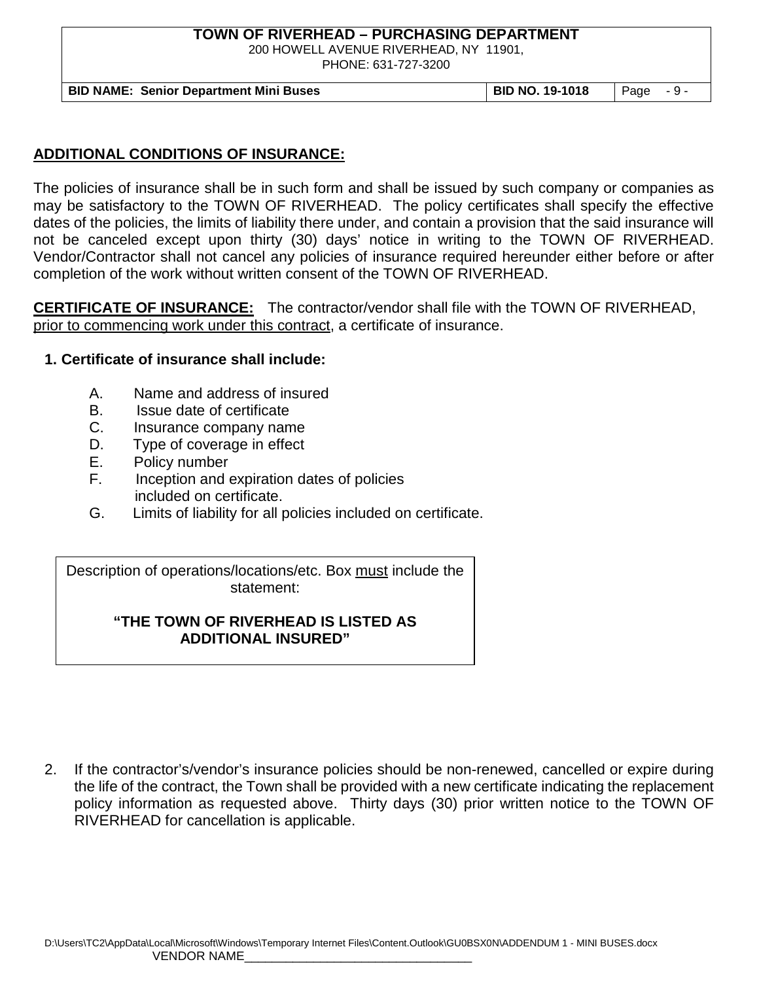200 HOWELL AVENUE RIVERHEAD, NY 11901,

PHONE: 631-727-3200

**BID NAME: Senior Department Mini Buses BID NO. 19-1018** Page - 9 -

## **ADDITIONAL CONDITIONS OF INSURANCE:**

The policies of insurance shall be in such form and shall be issued by such company or companies as may be satisfactory to the TOWN OF RIVERHEAD. The policy certificates shall specify the effective dates of the policies, the limits of liability there under, and contain a provision that the said insurance will not be canceled except upon thirty (30) days' notice in writing to the TOWN OF RIVERHEAD. Vendor/Contractor shall not cancel any policies of insurance required hereunder either before or after completion of the work without written consent of the TOWN OF RIVERHEAD.

**CERTIFICATE OF INSURANCE:** The contractor/vendor shall file with the TOWN OF RIVERHEAD, prior to commencing work under this contract, a certificate of insurance.

## **1. Certificate of insurance shall include:**

- A. Name and address of insured
- B. Issue date of certificate
- C. Insurance company name
- D. Type of coverage in effect
- E. Policy number
- F. Inception and expiration dates of policies included on certificate.
- G. Limits of liability for all policies included on certificate.

Description of operations/locations/etc. Box must include the statement:

## **"THE TOWN OF RIVERHEAD IS LISTED AS ADDITIONAL INSURED"**

2. If the contractor's/vendor's insurance policies should be non-renewed, cancelled or expire during the life of the contract, the Town shall be provided with a new certificate indicating the replacement policy information as requested above. Thirty days (30) prior written notice to the TOWN OF RIVERHEAD for cancellation is applicable.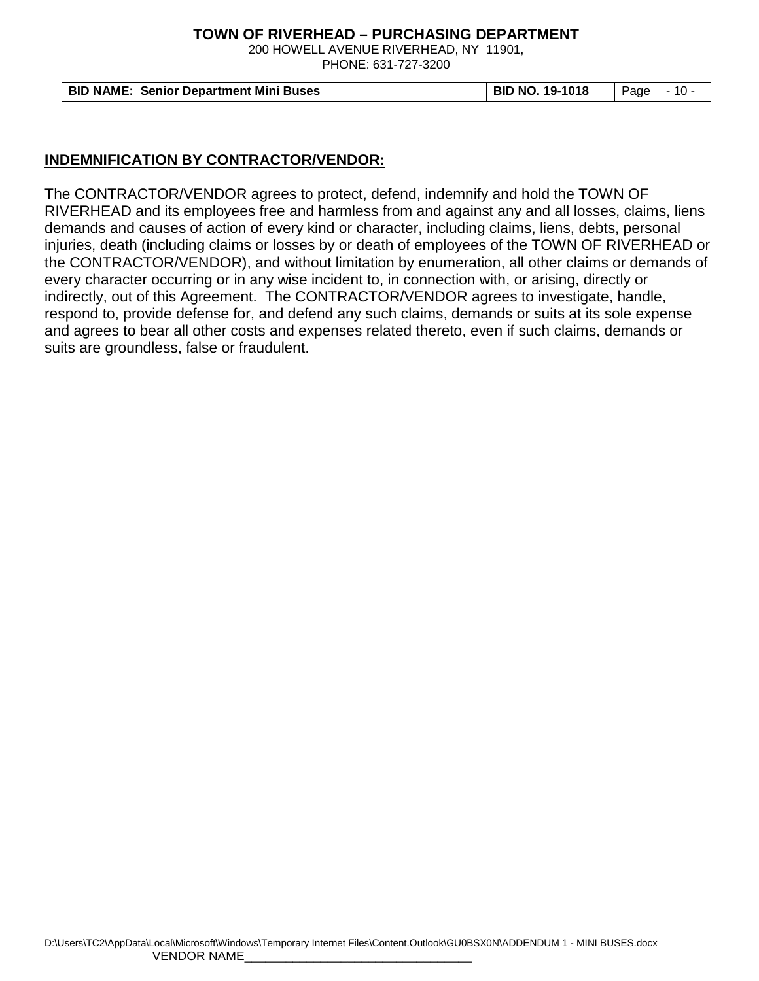200 HOWELL AVENUE RIVERHEAD, NY 11901,

PHONE: 631-727-3200

**BID NAME: Senior Department Mini Buses BID NO. 19-1018** Page - 10 -

#### **INDEMNIFICATION BY CONTRACTOR/VENDOR:**

The CONTRACTOR/VENDOR agrees to protect, defend, indemnify and hold the TOWN OF RIVERHEAD and its employees free and harmless from and against any and all losses, claims, liens demands and causes of action of every kind or character, including claims, liens, debts, personal injuries, death (including claims or losses by or death of employees of the TOWN OF RIVERHEAD or the CONTRACTOR/VENDOR), and without limitation by enumeration, all other claims or demands of every character occurring or in any wise incident to, in connection with, or arising, directly or indirectly, out of this Agreement. The CONTRACTOR/VENDOR agrees to investigate, handle, respond to, provide defense for, and defend any such claims, demands or suits at its sole expense and agrees to bear all other costs and expenses related thereto, even if such claims, demands or suits are groundless, false or fraudulent.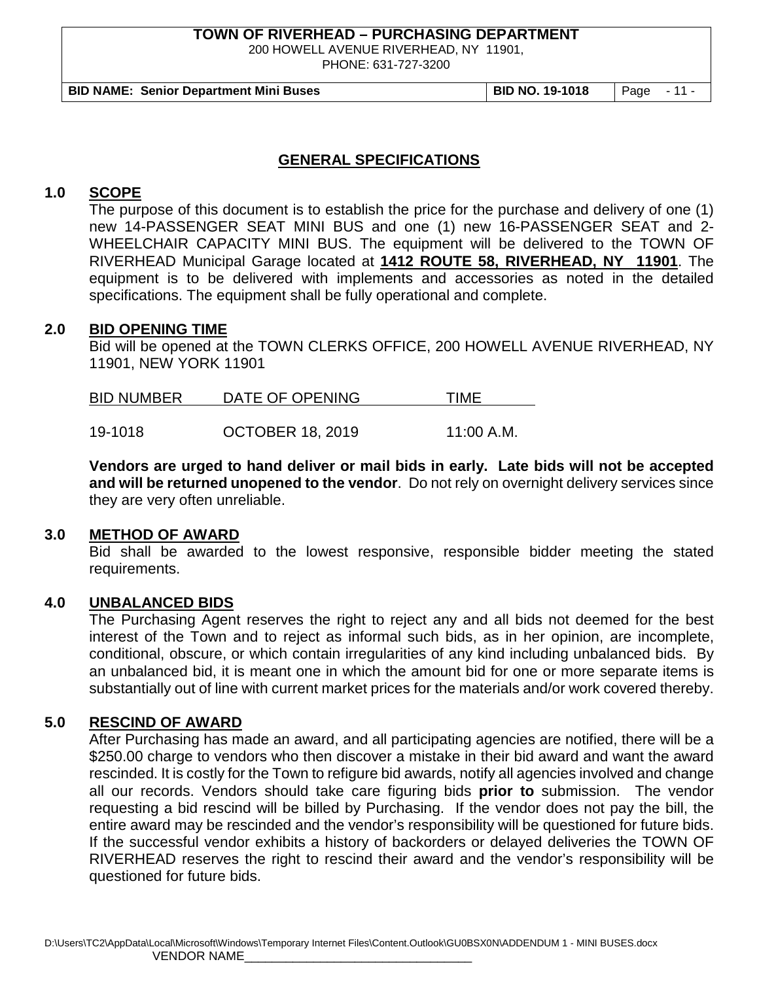200 HOWELL AVENUE RIVERHEAD, NY 11901,

PHONE: 631-727-3200

**BID NAME: Senior Department Mini Buses BID NO. 19-1018** Page - 11 -

#### **GENERAL SPECIFICATIONS**

## **1.0 SCOPE**

The purpose of this document is to establish the price for the purchase and delivery of one (1) new 14-PASSENGER SEAT MINI BUS and one (1) new 16-PASSENGER SEAT and 2- WHEELCHAIR CAPACITY MINI BUS. The equipment will be delivered to the TOWN OF RIVERHEAD Municipal Garage located at **1412 ROUTE 58, RIVERHEAD, NY 11901**. The equipment is to be delivered with implements and accessories as noted in the detailed specifications. The equipment shall be fully operational and complete.

#### **2.0 BID OPENING TIME**

Bid will be opened at the TOWN CLERKS OFFICE, 200 HOWELL AVENUE RIVERHEAD, NY 11901, NEW YORK 11901

| <b>BID NUMBER</b> | DATE OF OPENING | 'IME |
|-------------------|-----------------|------|
|                   |                 |      |

19-1018 OCTOBER 18, 2019 11:00 A.M.

**Vendors are urged to hand deliver or mail bids in early. Late bids will not be accepted and will be returned unopened to the vendor**. Do not rely on overnight delivery services since they are very often unreliable.

#### **3.0 METHOD OF AWARD**

Bid shall be awarded to the lowest responsive, responsible bidder meeting the stated requirements.

#### **4.0 UNBALANCED BIDS**

The Purchasing Agent reserves the right to reject any and all bids not deemed for the best interest of the Town and to reject as informal such bids, as in her opinion, are incomplete, conditional, obscure, or which contain irregularities of any kind including unbalanced bids. By an unbalanced bid, it is meant one in which the amount bid for one or more separate items is substantially out of line with current market prices for the materials and/or work covered thereby.

## **5.0 RESCIND OF AWARD**

After Purchasing has made an award, and all participating agencies are notified, there will be a \$250.00 charge to vendors who then discover a mistake in their bid award and want the award rescinded. It is costly for the Town to refigure bid awards, notify all agencies involved and change all our records. Vendors should take care figuring bids **prior to** submission. The vendor requesting a bid rescind will be billed by Purchasing. If the vendor does not pay the bill, the entire award may be rescinded and the vendor's responsibility will be questioned for future bids. If the successful vendor exhibits a history of backorders or delayed deliveries the TOWN OF RIVERHEAD reserves the right to rescind their award and the vendor's responsibility will be questioned for future bids.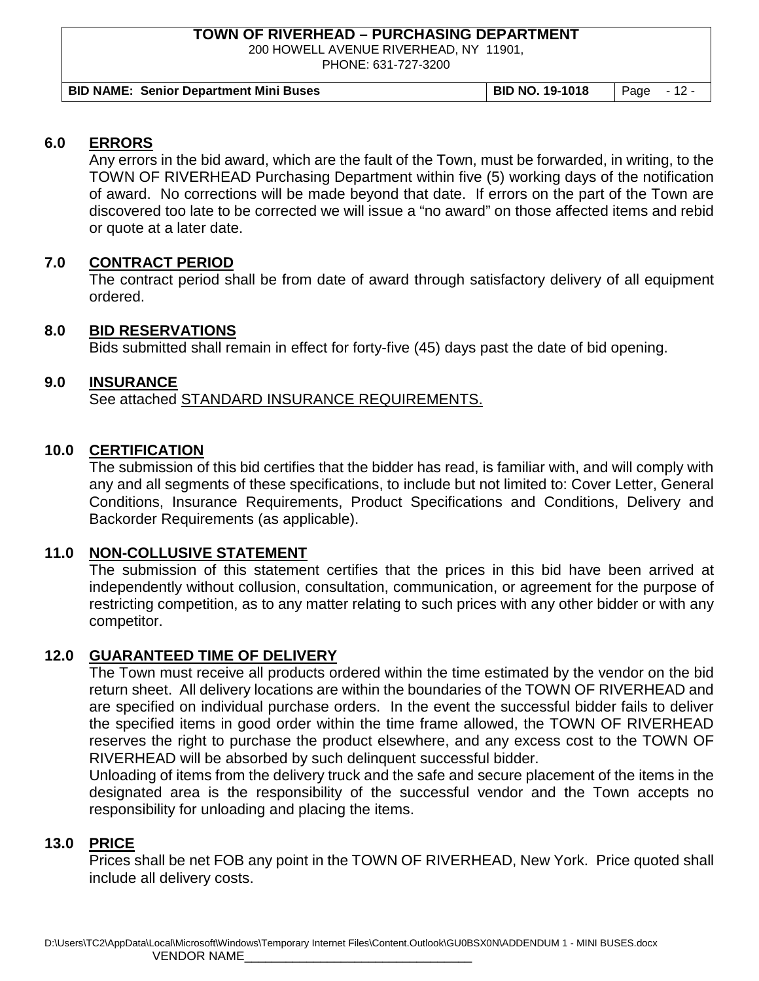200 HOWELL AVENUE RIVERHEAD, NY 11901,

PHONE: 631-727-3200

## **6.0 ERRORS**

Any errors in the bid award, which are the fault of the Town, must be forwarded, in writing, to the TOWN OF RIVERHEAD Purchasing Department within five (5) working days of the notification of award. No corrections will be made beyond that date. If errors on the part of the Town are discovered too late to be corrected we will issue a "no award" on those affected items and rebid or quote at a later date.

## **7.0 CONTRACT PERIOD**

The contract period shall be from date of award through satisfactory delivery of all equipment ordered.

## **8.0 BID RESERVATIONS**

Bids submitted shall remain in effect for forty-five (45) days past the date of bid opening.

## **9.0 INSURANCE**

See attached STANDARD INSURANCE REQUIREMENTS.

## **10.0 CERTIFICATION**

The submission of this bid certifies that the bidder has read, is familiar with, and will comply with any and all segments of these specifications, to include but not limited to: Cover Letter, General Conditions, Insurance Requirements, Product Specifications and Conditions, Delivery and Backorder Requirements (as applicable).

## **11.0 NON-COLLUSIVE STATEMENT**

The submission of this statement certifies that the prices in this bid have been arrived at independently without collusion, consultation, communication, or agreement for the purpose of restricting competition, as to any matter relating to such prices with any other bidder or with any competitor.

## **12.0 GUARANTEED TIME OF DELIVERY**

The Town must receive all products ordered within the time estimated by the vendor on the bid return sheet. All delivery locations are within the boundaries of the TOWN OF RIVERHEAD and are specified on individual purchase orders. In the event the successful bidder fails to deliver the specified items in good order within the time frame allowed, the TOWN OF RIVERHEAD reserves the right to purchase the product elsewhere, and any excess cost to the TOWN OF RIVERHEAD will be absorbed by such delinquent successful bidder.

Unloading of items from the delivery truck and the safe and secure placement of the items in the designated area is the responsibility of the successful vendor and the Town accepts no responsibility for unloading and placing the items.

## **13.0 PRICE**

Prices shall be net FOB any point in the TOWN OF RIVERHEAD, New York. Price quoted shall include all delivery costs.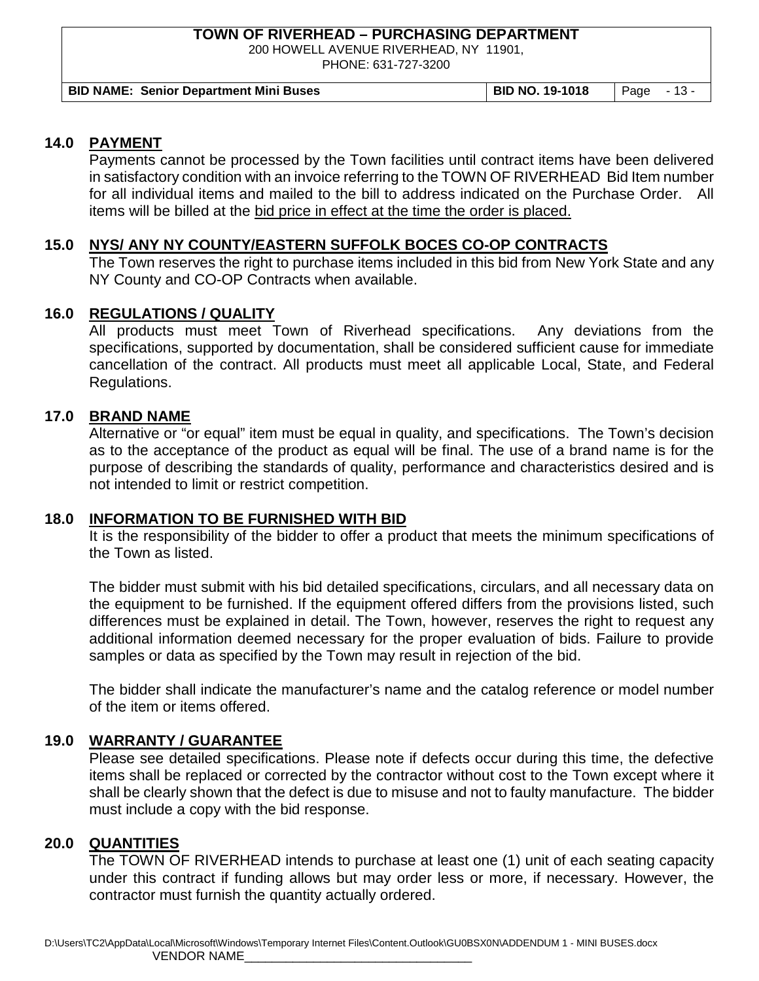200 HOWELL AVENUE RIVERHEAD, NY 11901,

PHONE: 631-727-3200

## **14.0 PAYMENT**

Payments cannot be processed by the Town facilities until contract items have been delivered in satisfactory condition with an invoice referring to the TOWN OF RIVERHEAD Bid Item number for all individual items and mailed to the bill to address indicated on the Purchase Order. All items will be billed at the bid price in effect at the time the order is placed.

## **15.0 NYS/ ANY NY COUNTY/EASTERN SUFFOLK BOCES CO-OP CONTRACTS**

The Town reserves the right to purchase items included in this bid from New York State and any NY County and CO-OP Contracts when available.

## **16.0 REGULATIONS / QUALITY**

All products must meet Town of Riverhead specifications. Any deviations from the specifications, supported by documentation, shall be considered sufficient cause for immediate cancellation of the contract. All products must meet all applicable Local, State, and Federal Regulations.

## **17.0 BRAND NAME**

Alternative or "or equal" item must be equal in quality, and specifications. The Town's decision as to the acceptance of the product as equal will be final. The use of a brand name is for the purpose of describing the standards of quality, performance and characteristics desired and is not intended to limit or restrict competition.

## **18.0 INFORMATION TO BE FURNISHED WITH BID**

It is the responsibility of the bidder to offer a product that meets the minimum specifications of the Town as listed.

The bidder must submit with his bid detailed specifications, circulars, and all necessary data on the equipment to be furnished. If the equipment offered differs from the provisions listed, such differences must be explained in detail. The Town, however, reserves the right to request any additional information deemed necessary for the proper evaluation of bids. Failure to provide samples or data as specified by the Town may result in rejection of the bid.

The bidder shall indicate the manufacturer's name and the catalog reference or model number of the item or items offered.

## **19.0 WARRANTY / GUARANTEE**

Please see detailed specifications. Please note if defects occur during this time, the defective items shall be replaced or corrected by the contractor without cost to the Town except where it shall be clearly shown that the defect is due to misuse and not to faulty manufacture. The bidder must include a copy with the bid response.

## **20.0 QUANTITIES**

The TOWN OF RIVERHEAD intends to purchase at least one (1) unit of each seating capacity under this contract if funding allows but may order less or more, if necessary. However, the contractor must furnish the quantity actually ordered.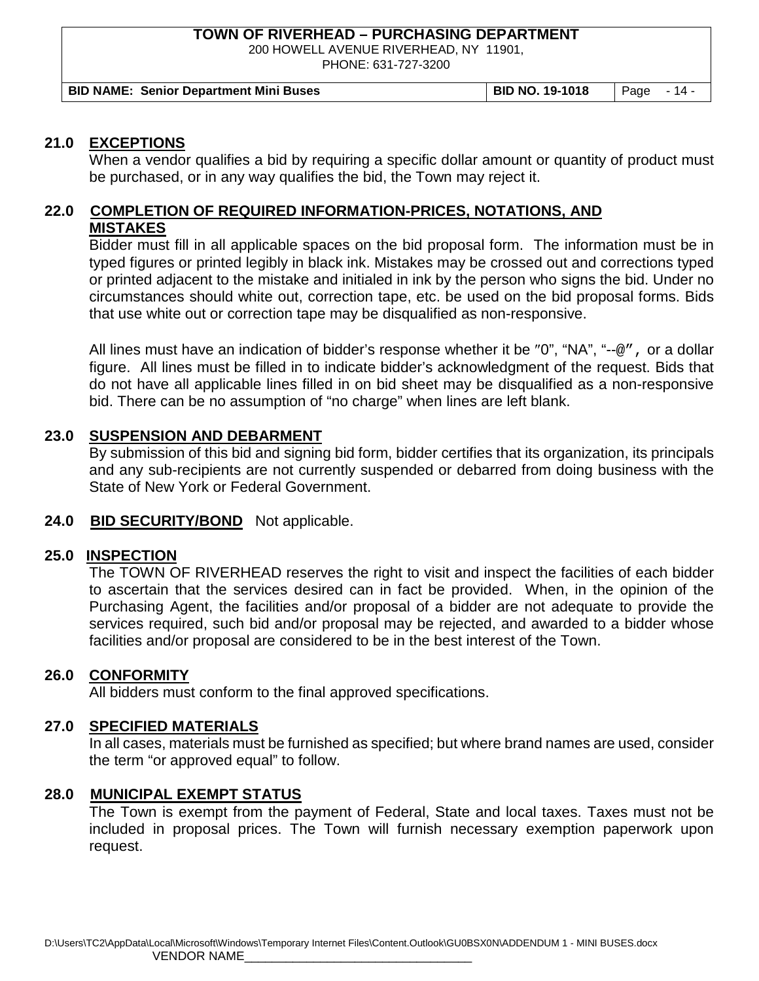200 HOWELL AVENUE RIVERHEAD, NY 11901,

PHONE: 631-727-3200

**BID NAME: Senior Department Mini Buses BID NO. 19-1018** Page - 14 -

#### **21.0 EXCEPTIONS**

When a vendor qualifies a bid by requiring a specific dollar amount or quantity of product must be purchased, or in any way qualifies the bid, the Town may reject it.

## **22.0 COMPLETION OF REQUIRED INFORMATION-PRICES, NOTATIONS, AND MISTAKES**

Bidder must fill in all applicable spaces on the bid proposal form. The information must be in typed figures or printed legibly in black ink. Mistakes may be crossed out and corrections typed or printed adjacent to the mistake and initialed in ink by the person who signs the bid. Under no circumstances should white out, correction tape, etc. be used on the bid proposal forms. Bids that use white out or correction tape may be disqualified as non-responsive.

All lines must have an indication of bidder's response whether it be "0", "NA", "--@", or a dollar figure. All lines must be filled in to indicate bidder's acknowledgment of the request. Bids that do not have all applicable lines filled in on bid sheet may be disqualified as a non-responsive bid. There can be no assumption of "no charge" when lines are left blank.

#### **23.0 SUSPENSION AND DEBARMENT**

By submission of this bid and signing bid form, bidder certifies that its organization, its principals and any sub-recipients are not currently suspended or debarred from doing business with the State of New York or Federal Government.

#### **24.0 BID SECURITY/BOND** Not applicable.

## **25.0 INSPECTION**

The TOWN OF RIVERHEAD reserves the right to visit and inspect the facilities of each bidder to ascertain that the services desired can in fact be provided. When, in the opinion of the Purchasing Agent, the facilities and/or proposal of a bidder are not adequate to provide the services required, such bid and/or proposal may be rejected, and awarded to a bidder whose facilities and/or proposal are considered to be in the best interest of the Town.

## **26.0 CONFORMITY**

All bidders must conform to the final approved specifications.

#### **27.0 SPECIFIED MATERIALS**

In all cases, materials must be furnished as specified; but where brand names are used, consider the term "or approved equal" to follow.

#### **28.0 MUNICIPAL EXEMPT STATUS**

The Town is exempt from the payment of Federal, State and local taxes. Taxes must not be included in proposal prices. The Town will furnish necessary exemption paperwork upon request.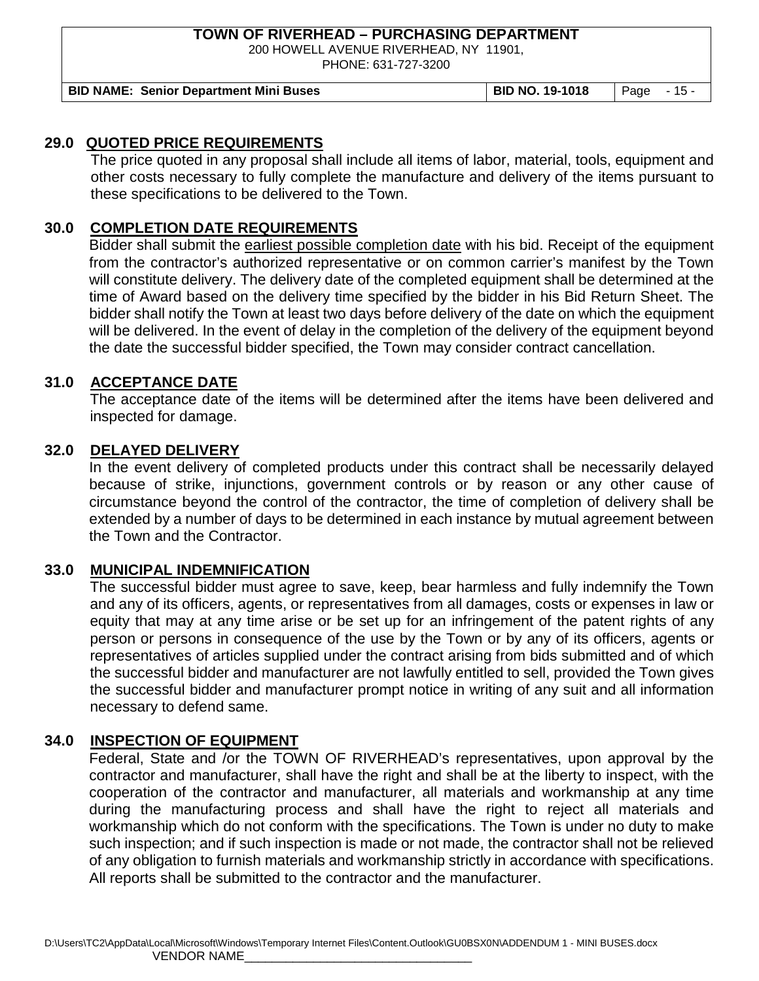200 HOWELL AVENUE RIVERHEAD, NY 11901,

PHONE: 631-727-3200

**BID NAME: Senior Department Mini Buses BID NO. 19-1018** Page - 15 -

#### **29.0 QUOTED PRICE REQUIREMENTS**

The price quoted in any proposal shall include all items of labor, material, tools, equipment and other costs necessary to fully complete the manufacture and delivery of the items pursuant to these specifications to be delivered to the Town.

## **30.0 COMPLETION DATE REQUIREMENTS**

Bidder shall submit the earliest possible completion date with his bid. Receipt of the equipment from the contractor's authorized representative or on common carrier's manifest by the Town will constitute delivery. The delivery date of the completed equipment shall be determined at the time of Award based on the delivery time specified by the bidder in his Bid Return Sheet. The bidder shall notify the Town at least two days before delivery of the date on which the equipment will be delivered. In the event of delay in the completion of the delivery of the equipment beyond the date the successful bidder specified, the Town may consider contract cancellation.

#### **31.0 ACCEPTANCE DATE**

The acceptance date of the items will be determined after the items have been delivered and inspected for damage.

#### **32.0 DELAYED DELIVERY**

In the event delivery of completed products under this contract shall be necessarily delayed because of strike, injunctions, government controls or by reason or any other cause of circumstance beyond the control of the contractor, the time of completion of delivery shall be extended by a number of days to be determined in each instance by mutual agreement between the Town and the Contractor.

## **33.0 MUNICIPAL INDEMNIFICATION**

The successful bidder must agree to save, keep, bear harmless and fully indemnify the Town and any of its officers, agents, or representatives from all damages, costs or expenses in law or equity that may at any time arise or be set up for an infringement of the patent rights of any person or persons in consequence of the use by the Town or by any of its officers, agents or representatives of articles supplied under the contract arising from bids submitted and of which the successful bidder and manufacturer are not lawfully entitled to sell, provided the Town gives the successful bidder and manufacturer prompt notice in writing of any suit and all information necessary to defend same.

## **34.0 INSPECTION OF EQUIPMENT**

Federal, State and /or the TOWN OF RIVERHEAD's representatives, upon approval by the contractor and manufacturer, shall have the right and shall be at the liberty to inspect, with the cooperation of the contractor and manufacturer, all materials and workmanship at any time during the manufacturing process and shall have the right to reject all materials and workmanship which do not conform with the specifications. The Town is under no duty to make such inspection; and if such inspection is made or not made, the contractor shall not be relieved of any obligation to furnish materials and workmanship strictly in accordance with specifications. All reports shall be submitted to the contractor and the manufacturer.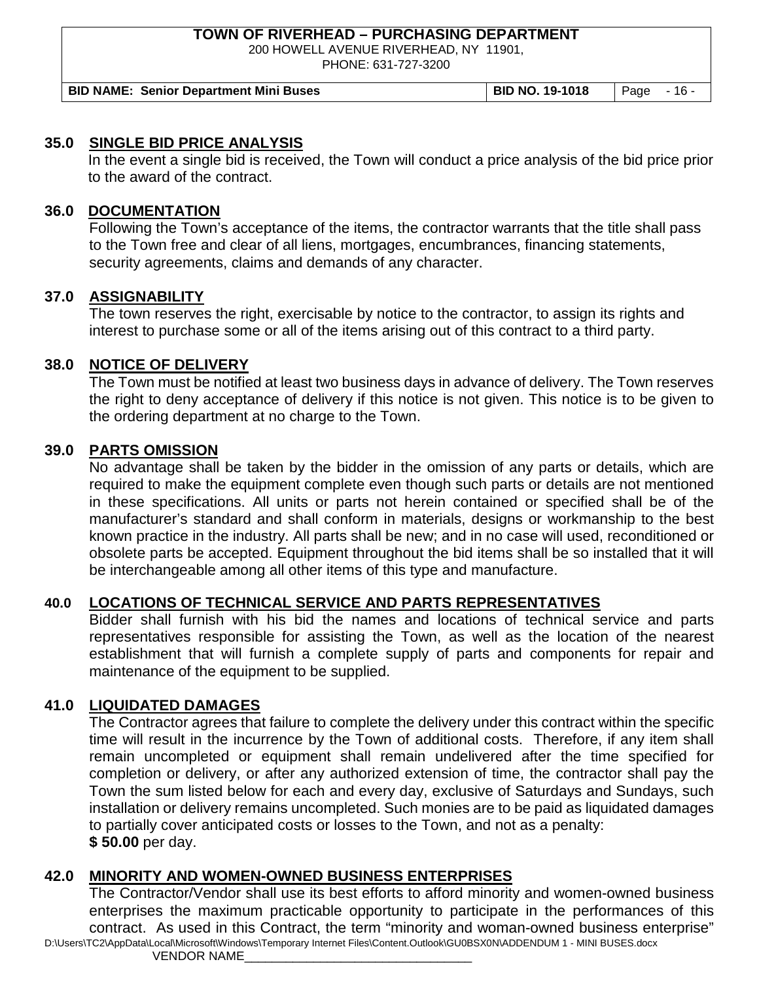200 HOWELL AVENUE RIVERHEAD, NY 11901,

PHONE: 631-727-3200

**BID NAME: Senior Department Mini Buses BID NO. 19-1018** Page - 16 -

#### **35.0 SINGLE BID PRICE ANALYSIS**

In the event a single bid is received, the Town will conduct a price analysis of the bid price prior to the award of the contract.

#### **36.0 DOCUMENTATION**

Following the Town's acceptance of the items, the contractor warrants that the title shall pass to the Town free and clear of all liens, mortgages, encumbrances, financing statements, security agreements, claims and demands of any character.

## **37.0 ASSIGNABILITY**

The town reserves the right, exercisable by notice to the contractor, to assign its rights and interest to purchase some or all of the items arising out of this contract to a third party.

#### **38.0 NOTICE OF DELIVERY**

The Town must be notified at least two business days in advance of delivery. The Town reserves the right to deny acceptance of delivery if this notice is not given. This notice is to be given to the ordering department at no charge to the Town.

#### **39.0 PARTS OMISSION**

No advantage shall be taken by the bidder in the omission of any parts or details, which are required to make the equipment complete even though such parts or details are not mentioned in these specifications. All units or parts not herein contained or specified shall be of the manufacturer's standard and shall conform in materials, designs or workmanship to the best known practice in the industry. All parts shall be new; and in no case will used, reconditioned or obsolete parts be accepted. Equipment throughout the bid items shall be so installed that it will be interchangeable among all other items of this type and manufacture.

## **40.0 LOCATIONS OF TECHNICAL SERVICE AND PARTS REPRESENTATIVES**

Bidder shall furnish with his bid the names and locations of technical service and parts representatives responsible for assisting the Town, as well as the location of the nearest establishment that will furnish a complete supply of parts and components for repair and maintenance of the equipment to be supplied.

## **41.0 LIQUIDATED DAMAGES**

The Contractor agrees that failure to complete the delivery under this contract within the specific time will result in the incurrence by the Town of additional costs. Therefore, if any item shall remain uncompleted or equipment shall remain undelivered after the time specified for completion or delivery, or after any authorized extension of time, the contractor shall pay the Town the sum listed below for each and every day, exclusive of Saturdays and Sundays, such installation or delivery remains uncompleted. Such monies are to be paid as liquidated damages to partially cover anticipated costs or losses to the Town, and not as a penalty: **\$ 50.00** per day.

#### **42.0 MINORITY AND WOMEN-OWNED BUSINESS ENTERPRISES**

D:\Users\TC2\AppData\Local\Microsoft\Windows\Temporary Internet Files\Content.Outlook\GU0BSX0N\ADDENDUM 1 - MINI BUSES.docx The Contractor/Vendor shall use its best efforts to afford minority and women-owned business enterprises the maximum practicable opportunity to participate in the performances of this contract. As used in this Contract, the term "minority and woman-owned business enterprise"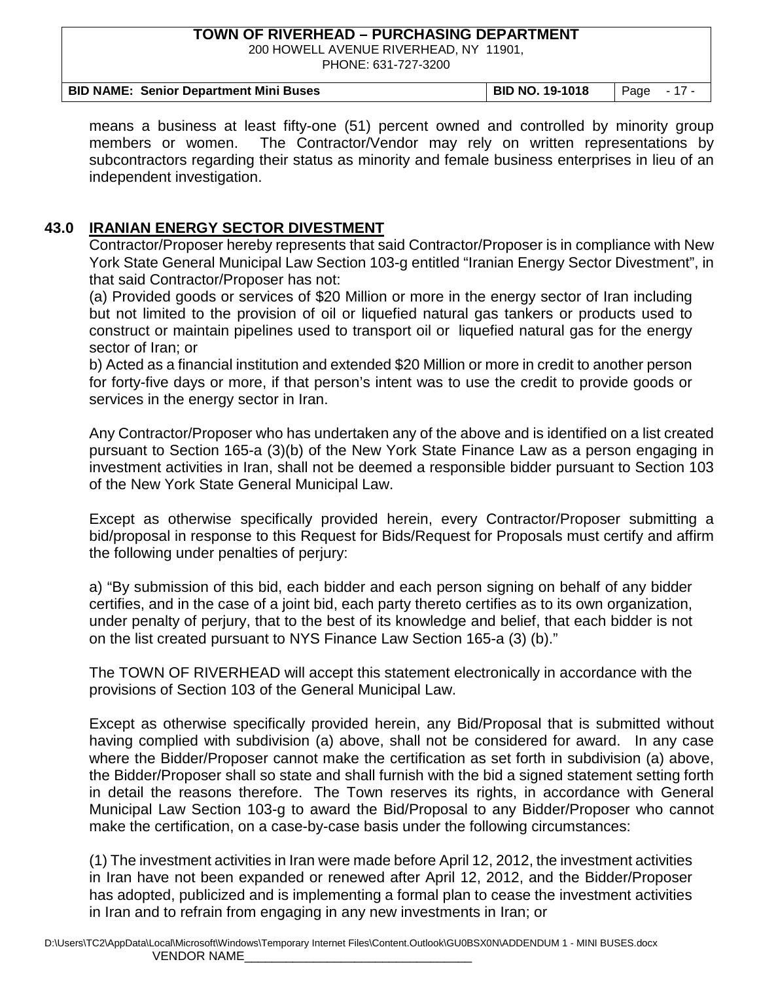200 HOWELL AVENUE RIVERHEAD, NY 11901, PHONE: 631-727-3200

| <b>BID NAME: Senior Department Mini Buses</b> | BID NO. 19-1018   Page - 17 - |  |
|-----------------------------------------------|-------------------------------|--|

means a business at least fifty-one (51) percent owned and controlled by minority group members or women. The Contractor/Vendor may rely on written representations by subcontractors regarding their status as minority and female business enterprises in lieu of an independent investigation.

## **43.0 IRANIAN ENERGY SECTOR DIVESTMENT**

Contractor/Proposer hereby represents that said Contractor/Proposer is in compliance with New York State General Municipal Law Section 103-g entitled "Iranian Energy Sector Divestment", in that said Contractor/Proposer has not:

(a) Provided goods or services of \$20 Million or more in the energy sector of Iran including but not limited to the provision of oil or liquefied natural gas tankers or products used to construct or maintain pipelines used to transport oil or liquefied natural gas for the energy sector of Iran; or

b) Acted as a financial institution and extended \$20 Million or more in credit to another person for forty-five days or more, if that person's intent was to use the credit to provide goods or services in the energy sector in Iran.

Any Contractor/Proposer who has undertaken any of the above and is identified on a list created pursuant to Section 165-a (3)(b) of the New York State Finance Law as a person engaging in investment activities in Iran, shall not be deemed a responsible bidder pursuant to Section 103 of the New York State General Municipal Law.

Except as otherwise specifically provided herein, every Contractor/Proposer submitting a bid/proposal in response to this Request for Bids/Request for Proposals must certify and affirm the following under penalties of perjury:

a) "By submission of this bid, each bidder and each person signing on behalf of any bidder certifies, and in the case of a joint bid, each party thereto certifies as to its own organization, under penalty of perjury, that to the best of its knowledge and belief, that each bidder is not on the list created pursuant to NYS Finance Law Section 165-a (3) (b)."

The TOWN OF RIVERHEAD will accept this statement electronically in accordance with the provisions of Section 103 of the General Municipal Law.

Except as otherwise specifically provided herein, any Bid/Proposal that is submitted without having complied with subdivision (a) above, shall not be considered for award. In any case where the Bidder/Proposer cannot make the certification as set forth in subdivision (a) above, the Bidder/Proposer shall so state and shall furnish with the bid a signed statement setting forth in detail the reasons therefore. The Town reserves its rights, in accordance with General Municipal Law Section 103-g to award the Bid/Proposal to any Bidder/Proposer who cannot make the certification, on a case-by-case basis under the following circumstances:

(1) The investment activities in Iran were made before April 12, 2012, the investment activities in Iran have not been expanded or renewed after April 12, 2012, and the Bidder/Proposer has adopted, publicized and is implementing a formal plan to cease the investment activities in Iran and to refrain from engaging in any new investments in Iran; or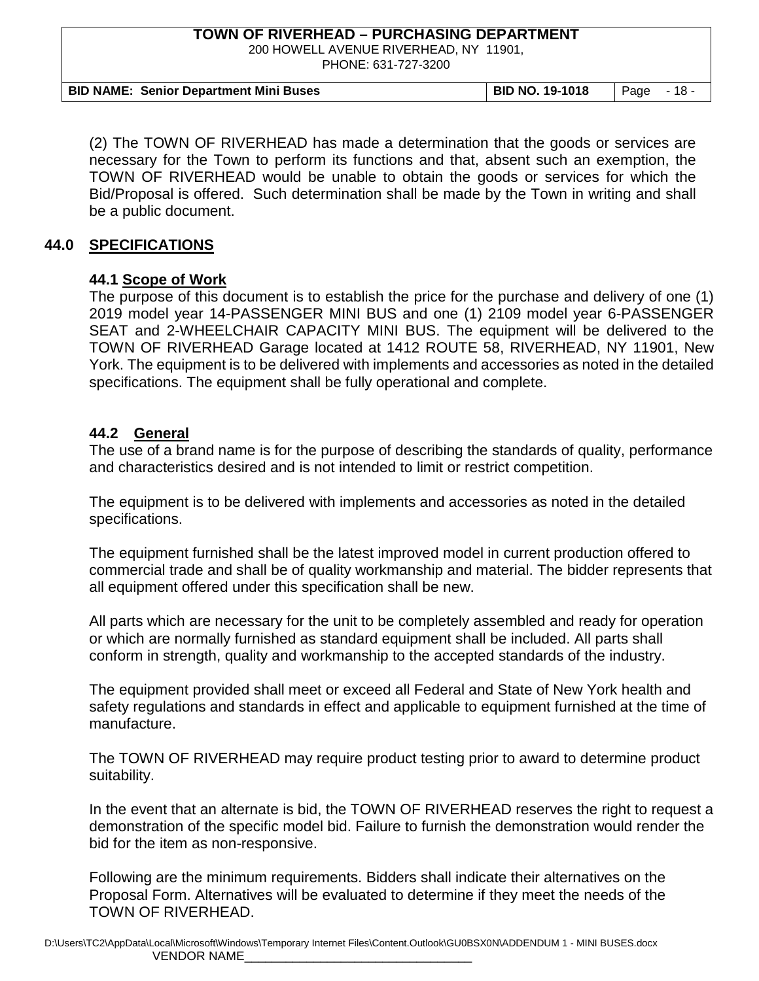200 HOWELL AVENUE RIVERHEAD, NY 11901,

PHONE: 631-727-3200

| <b>BID NAME: Senior Department Mini Buses</b> | <b>BID NO. 19-1018</b>   Page $-18$ - |  |
|-----------------------------------------------|---------------------------------------|--|

(2) The TOWN OF RIVERHEAD has made a determination that the goods or services are necessary for the Town to perform its functions and that, absent such an exemption, the TOWN OF RIVERHEAD would be unable to obtain the goods or services for which the Bid/Proposal is offered. Such determination shall be made by the Town in writing and shall be a public document.

#### **44.0 SPECIFICATIONS**

## **44.1 Scope of Work**

The purpose of this document is to establish the price for the purchase and delivery of one (1) 2019 model year 14-PASSENGER MINI BUS and one (1) 2109 model year 6-PASSENGER SEAT and 2-WHEELCHAIR CAPACITY MINI BUS. The equipment will be delivered to the TOWN OF RIVERHEAD Garage located at 1412 ROUTE 58, RIVERHEAD, NY 11901, New York. The equipment is to be delivered with implements and accessories as noted in the detailed specifications. The equipment shall be fully operational and complete.

#### **44.2 General**

The use of a brand name is for the purpose of describing the standards of quality, performance and characteristics desired and is not intended to limit or restrict competition.

The equipment is to be delivered with implements and accessories as noted in the detailed specifications.

The equipment furnished shall be the latest improved model in current production offered to commercial trade and shall be of quality workmanship and material. The bidder represents that all equipment offered under this specification shall be new.

All parts which are necessary for the unit to be completely assembled and ready for operation or which are normally furnished as standard equipment shall be included. All parts shall conform in strength, quality and workmanship to the accepted standards of the industry.

The equipment provided shall meet or exceed all Federal and State of New York health and safety regulations and standards in effect and applicable to equipment furnished at the time of manufacture.

The TOWN OF RIVERHEAD may require product testing prior to award to determine product suitability.

In the event that an alternate is bid, the TOWN OF RIVERHEAD reserves the right to request a demonstration of the specific model bid. Failure to furnish the demonstration would render the bid for the item as non-responsive.

Following are the minimum requirements. Bidders shall indicate their alternatives on the Proposal Form. Alternatives will be evaluated to determine if they meet the needs of the TOWN OF RIVERHEAD.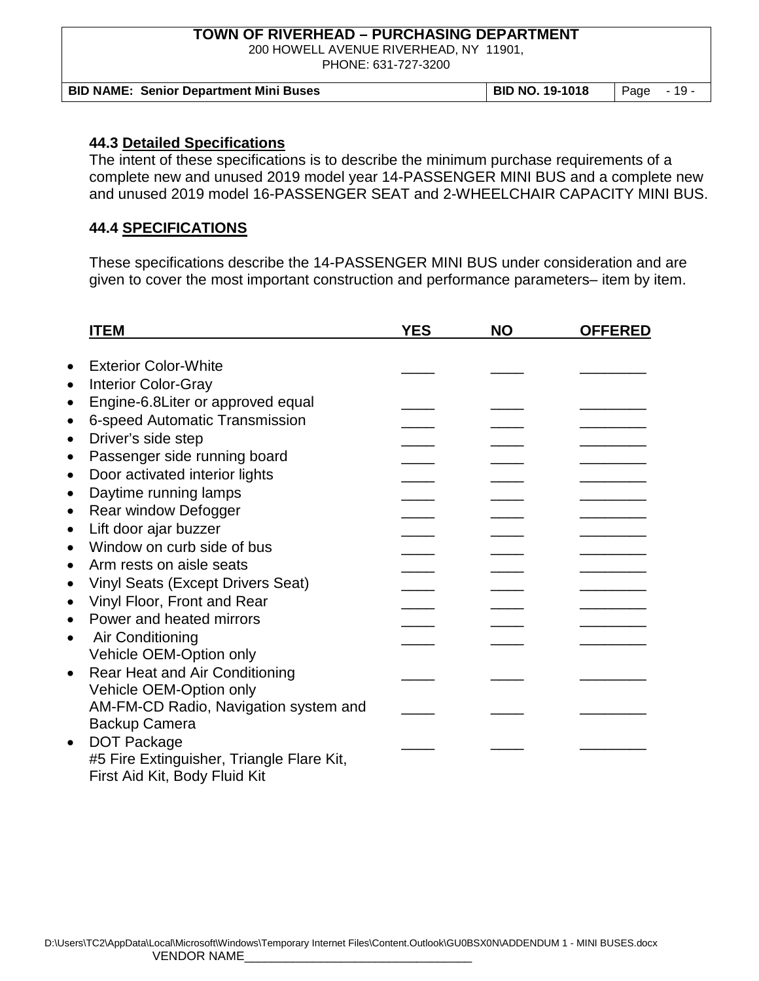200 HOWELL AVENUE RIVERHEAD, NY 11901,

PHONE: 631-727-3200

| <b>BID NAME: Senior Department Mini Buses</b> | BID NO. 19-1018 | $\vert$ Page $\vert$ - 19 - |
|-----------------------------------------------|-----------------|-----------------------------|

## **44.3 Detailed Specifications**

The intent of these specifications is to describe the minimum purchase requirements of a complete new and unused 2019 model year 14-PASSENGER MINI BUS and a complete new and unused 2019 model 16-PASSENGER SEAT and 2-WHEELCHAIR CAPACITY MINI BUS.

## **44.4 SPECIFICATIONS**

These specifications describe the 14-PASSENGER MINI BUS under consideration and are given to cover the most important construction and performance parameters– item by item.

| <b>ITEM</b>                                           | <b>YES</b> | <b>NO</b> | <b>OFFERED</b> |
|-------------------------------------------------------|------------|-----------|----------------|
|                                                       |            |           |                |
| <b>Exterior Color-White</b><br>$\bullet$              |            |           |                |
| <b>Interior Color-Gray</b><br>$\bullet$               |            |           |                |
| Engine-6.8Liter or approved equal<br>$\bullet$        |            |           |                |
| 6-speed Automatic Transmission<br>$\bullet$           |            |           |                |
| Driver's side step<br>$\bullet$                       |            |           |                |
| Passenger side running board<br>$\bullet$             |            |           |                |
| Door activated interior lights<br>$\bullet$           |            |           |                |
| Daytime running lamps<br>$\bullet$                    |            |           |                |
| Rear window Defogger<br>$\bullet$                     |            |           |                |
| Lift door ajar buzzer<br>$\bullet$                    |            |           |                |
| Window on curb side of bus<br>$\bullet$               |            |           |                |
| Arm rests on aisle seats<br>$\bullet$                 |            |           |                |
| <b>Vinyl Seats (Except Drivers Seat)</b><br>$\bullet$ |            |           |                |
| Vinyl Floor, Front and Rear<br>$\bullet$              |            |           |                |
| Power and heated mirrors                              |            |           |                |
| Air Conditioning<br>$\bullet$                         |            |           |                |
| Vehicle OEM-Option only                               |            |           |                |
| <b>Rear Heat and Air Conditioning</b><br>$\bullet$    |            |           |                |
| Vehicle OEM-Option only                               |            |           |                |
| AM-FM-CD Radio, Navigation system and                 |            |           |                |
| <b>Backup Camera</b>                                  |            |           |                |
| <b>DOT Package</b><br>$\bullet$                       |            |           |                |
| #5 Fire Extinguisher, Triangle Flare Kit,             |            |           |                |
| First Aid Kit, Body Fluid Kit                         |            |           |                |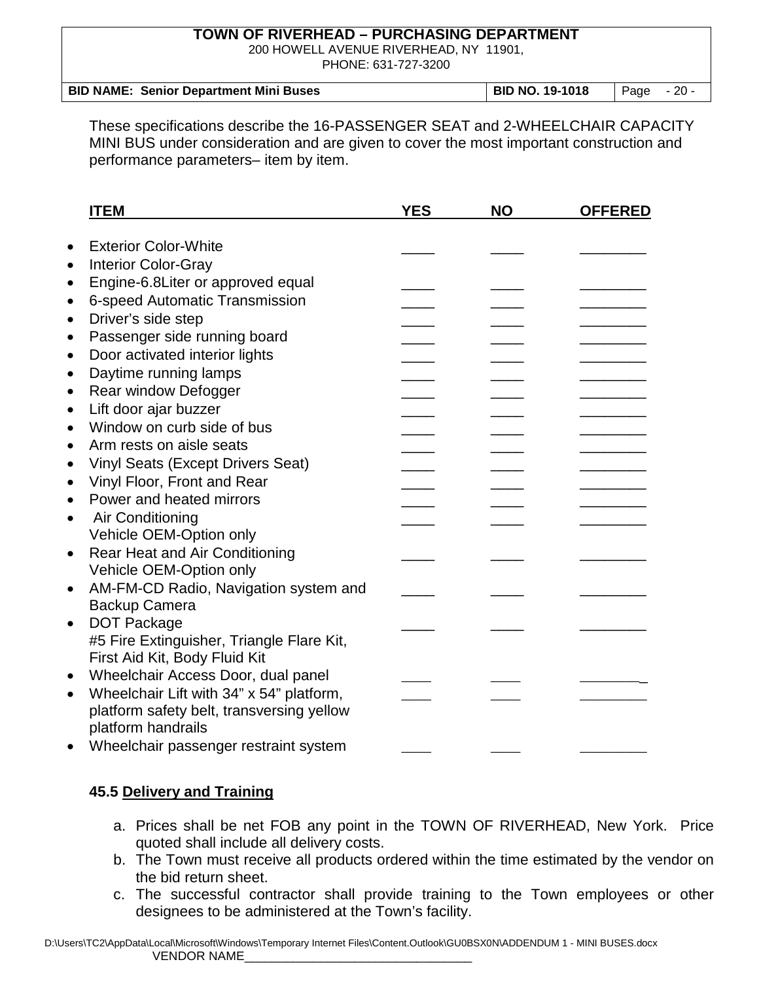200 HOWELL AVENUE RIVERHEAD, NY 11901,

PHONE: 631-727-3200

| <b>BID NAME: Senior Department Mini Buses</b> | BID NO. 19-1018 | Page - 20 - |  |
|-----------------------------------------------|-----------------|-------------|--|
|                                               |                 |             |  |

These specifications describe the 16-PASSENGER SEAT and 2-WHEELCHAIR CAPACITY MINI BUS under consideration and are given to cover the most important construction and performance parameters– item by item.

|           | <b>ITEM</b>                               | <b>YES</b> | <b>NO</b> | <b>OFFERED</b> |
|-----------|-------------------------------------------|------------|-----------|----------------|
| $\bullet$ | <b>Exterior Color-White</b>               |            |           |                |
| $\bullet$ | <b>Interior Color-Gray</b>                |            |           |                |
|           |                                           |            |           |                |
| $\bullet$ | Engine-6.8Liter or approved equal         |            |           |                |
| $\bullet$ | 6-speed Automatic Transmission            |            |           |                |
| $\bullet$ | Driver's side step                        |            |           |                |
| $\bullet$ | Passenger side running board              |            |           |                |
| $\bullet$ | Door activated interior lights            |            |           |                |
| $\bullet$ | Daytime running lamps                     |            |           |                |
| $\bullet$ | Rear window Defogger                      |            |           |                |
| $\bullet$ | Lift door ajar buzzer                     |            |           |                |
| $\bullet$ | Window on curb side of bus                |            |           |                |
| $\bullet$ | Arm rests on aisle seats                  |            |           |                |
| $\bullet$ | <b>Vinyl Seats (Except Drivers Seat)</b>  |            |           |                |
| $\bullet$ | Vinyl Floor, Front and Rear               |            |           |                |
| $\bullet$ | Power and heated mirrors                  |            |           |                |
| $\bullet$ | Air Conditioning                          |            |           |                |
|           | Vehicle OEM-Option only                   |            |           |                |
| $\bullet$ | Rear Heat and Air Conditioning            |            |           |                |
|           | Vehicle OEM-Option only                   |            |           |                |
| $\bullet$ | AM-FM-CD Radio, Navigation system and     |            |           |                |
|           | <b>Backup Camera</b>                      |            |           |                |
| $\bullet$ | <b>DOT Package</b>                        |            |           |                |
|           | #5 Fire Extinguisher, Triangle Flare Kit, |            |           |                |
|           | First Aid Kit, Body Fluid Kit             |            |           |                |
| $\bullet$ | Wheelchair Access Door, dual panel        |            |           |                |
| $\bullet$ | Wheelchair Lift with 34" x 54" platform,  |            |           |                |
|           | platform safety belt, transversing yellow |            |           |                |
|           | platform handrails                        |            |           |                |
| $\bullet$ | Wheelchair passenger restraint system     |            |           |                |

## **45.5 Delivery and Training**

- a. Prices shall be net FOB any point in the TOWN OF RIVERHEAD, New York. Price quoted shall include all delivery costs.
- b. The Town must receive all products ordered within the time estimated by the vendor on the bid return sheet.
- c. The successful contractor shall provide training to the Town employees or other designees to be administered at the Town's facility.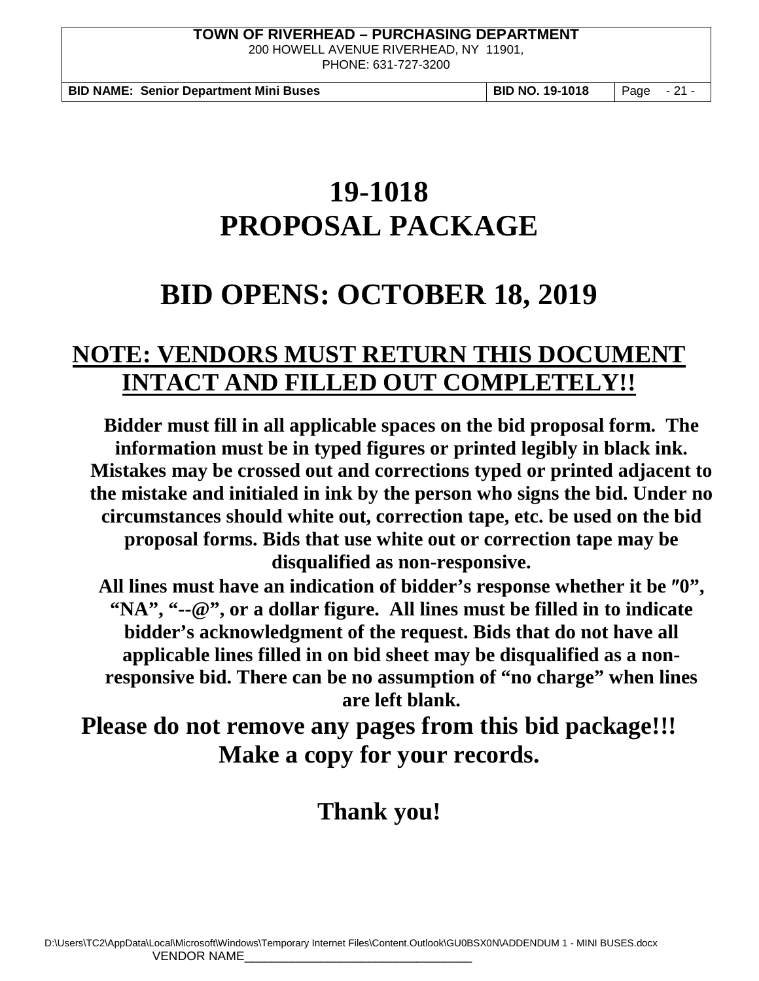200 HOWELL AVENUE RIVERHEAD, NY 11901, PHONE: 631-727-3200

**BID NAME: Senior Department Mini Buses BID NO. 19-1018** Page - 21 -

# **19-1018 PROPOSAL PACKAGE**

# **BID OPENS: OCTOBER 18, 2019**

# **NOTE: VENDORS MUST RETURN THIS DOCUMENT INTACT AND FILLED OUT COMPLETELY!!**

**Bidder must fill in all applicable spaces on the bid proposal form. The information must be in typed figures or printed legibly in black ink. Mistakes may be crossed out and corrections typed or printed adjacent to the mistake and initialed in ink by the person who signs the bid. Under no circumstances should white out, correction tape, etc. be used on the bid proposal forms. Bids that use white out or correction tape may be disqualified as non-responsive.**

**All lines must have an indication of bidder's response whether it be** ″**0", "NA", "--@", or a dollar figure. All lines must be filled in to indicate bidder's acknowledgment of the request. Bids that do not have all applicable lines filled in on bid sheet may be disqualified as a nonresponsive bid. There can be no assumption of "no charge" when lines are left blank.**

**Please do not remove any pages from this bid package!!! Make a copy for your records.** 

# **Thank you!**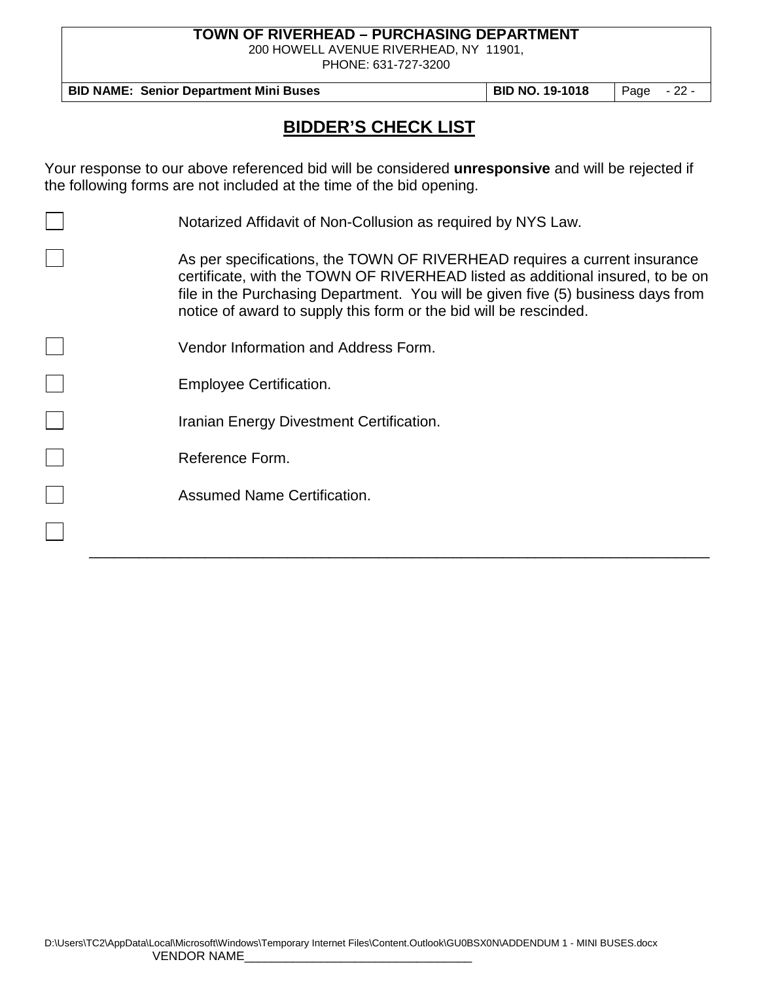200 HOWELL AVENUE RIVERHEAD, NY 11901,

PHONE: 631-727-3200

**BID NAME: Senior Department Mini Buses BID NO. 19-1018** Page - 22 -

# **BIDDER'S CHECK LIST**

Your response to our above referenced bid will be considered **unresponsive** and will be rejected if the following forms are not included at the time of the bid opening.

| Notarized Affidavit of Non-Collusion as required by NYS Law.                                                                                                                                                                                                                                                         |
|----------------------------------------------------------------------------------------------------------------------------------------------------------------------------------------------------------------------------------------------------------------------------------------------------------------------|
| As per specifications, the TOWN OF RIVERHEAD requires a current insurance<br>certificate, with the TOWN OF RIVERHEAD listed as additional insured, to be on<br>file in the Purchasing Department. You will be given five (5) business days from<br>notice of award to supply this form or the bid will be rescinded. |
| Vendor Information and Address Form.                                                                                                                                                                                                                                                                                 |
| <b>Employee Certification.</b>                                                                                                                                                                                                                                                                                       |
| Iranian Energy Divestment Certification.                                                                                                                                                                                                                                                                             |
| Reference Form.                                                                                                                                                                                                                                                                                                      |
| <b>Assumed Name Certification.</b>                                                                                                                                                                                                                                                                                   |
|                                                                                                                                                                                                                                                                                                                      |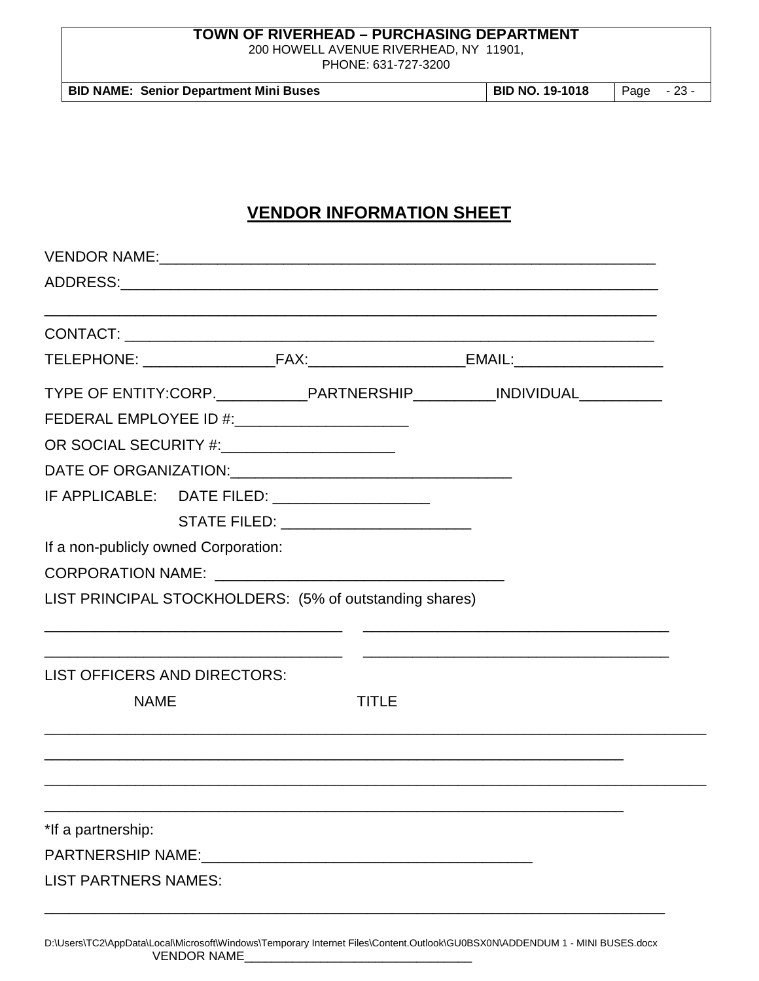200 HOWELL AVENUE RIVERHEAD, NY 11901,

PHONE: 631-727-3200

| BID NO. 19-1018<br><b>BID NAME: Senior Department Mini Buses</b> | Page - 23 - |
|------------------------------------------------------------------|-------------|
|------------------------------------------------------------------|-------------|

# **VENDOR INFORMATION SHEET**

|                                      |                                                  |                                                         | TYPE OF ENTITY:CORP._____________PARTNERSHIP___________INDIVIDUAL______________ |  |
|--------------------------------------|--------------------------------------------------|---------------------------------------------------------|---------------------------------------------------------------------------------|--|
|                                      | FEDERAL EMPLOYEE ID #: _________________________ |                                                         |                                                                                 |  |
|                                      | OR SOCIAL SECURITY #:________________________    |                                                         |                                                                                 |  |
|                                      |                                                  |                                                         |                                                                                 |  |
|                                      |                                                  | IF APPLICABLE: DATE FILED: ___________________          |                                                                                 |  |
|                                      |                                                  | STATE FILED: _________________________                  |                                                                                 |  |
| If a non-publicly owned Corporation: |                                                  |                                                         |                                                                                 |  |
|                                      |                                                  |                                                         |                                                                                 |  |
|                                      |                                                  | LIST PRINCIPAL STOCKHOLDERS: (5% of outstanding shares) |                                                                                 |  |
| LIST OFFICERS AND DIRECTORS:         |                                                  |                                                         |                                                                                 |  |
| <b>NAME</b>                          |                                                  | <b>TITLE</b>                                            |                                                                                 |  |
|                                      |                                                  |                                                         |                                                                                 |  |
|                                      |                                                  |                                                         |                                                                                 |  |
|                                      |                                                  |                                                         |                                                                                 |  |
| *If a partnership:                   |                                                  |                                                         |                                                                                 |  |
|                                      |                                                  |                                                         |                                                                                 |  |
| <b>LIST PARTNERS NAMES:</b>          |                                                  |                                                         |                                                                                 |  |
|                                      |                                                  |                                                         |                                                                                 |  |

D:\Users\TC2\AppData\Local\Microsoft\Windows\Temporary Internet Files\Content.Outlook\GU0BSX0N\ADDENDUM 1 - MINI BUSES.docx VENDOR NAME\_\_\_\_\_\_\_\_\_\_\_\_\_\_\_\_\_\_\_\_\_\_\_\_\_\_\_\_\_\_\_\_\_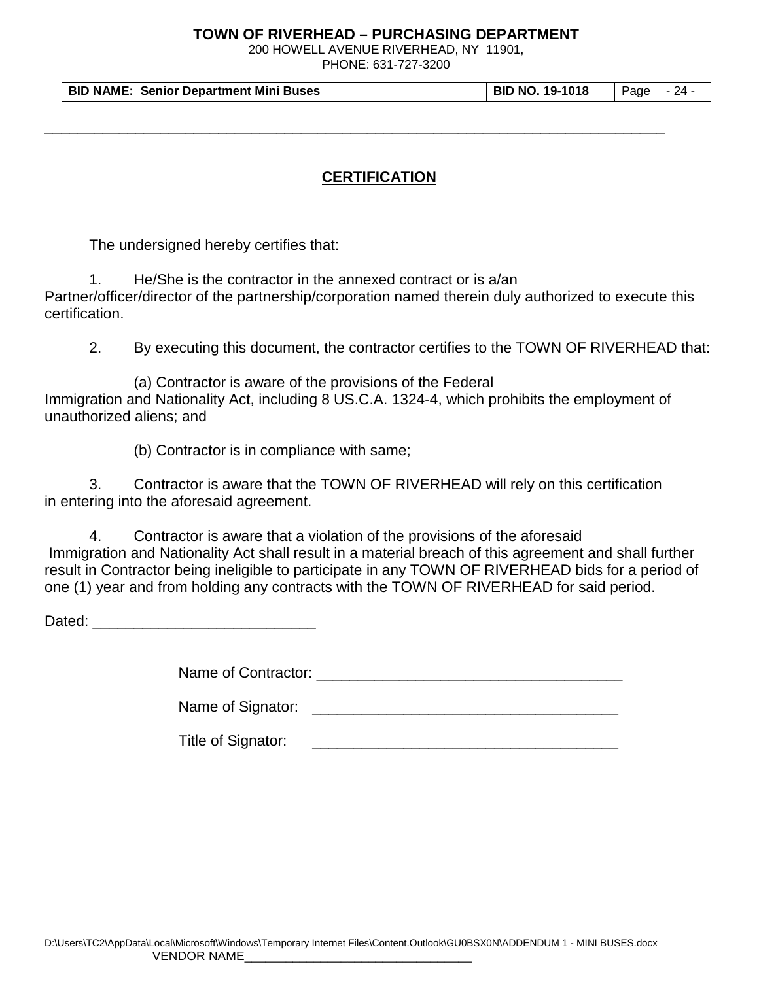200 HOWELL AVENUE RIVERHEAD, NY 11901,

PHONE: 631-727-3200

**BID NAME: Senior Department Mini Buses BID NO. 19-1018** Page - 24 -

## **CERTIFICATION**

\_\_\_\_\_\_\_\_\_\_\_\_\_\_\_\_\_\_\_\_\_\_\_\_\_\_\_\_\_\_\_\_\_\_\_\_\_\_\_\_\_\_\_\_\_\_\_\_\_\_\_\_\_\_\_\_\_\_\_\_\_\_\_\_\_\_\_\_\_\_\_\_\_\_\_

The undersigned hereby certifies that:

1. He/She is the contractor in the annexed contract or is a/an Partner/officer/director of the partnership/corporation named therein duly authorized to execute this certification.

2. By executing this document, the contractor certifies to the TOWN OF RIVERHEAD that:

(a) Contractor is aware of the provisions of the Federal Immigration and Nationality Act, including 8 US.C.A. 1324-4, which prohibits the employment of unauthorized aliens; and

(b) Contractor is in compliance with same;

3. Contractor is aware that the TOWN OF RIVERHEAD will rely on this certification in entering into the aforesaid agreement.

4. Contractor is aware that a violation of the provisions of the aforesaid Immigration and Nationality Act shall result in a material breach of this agreement and shall further result in Contractor being ineligible to participate in any TOWN OF RIVERHEAD bids for a period of one (1) year and from holding any contracts with the TOWN OF RIVERHEAD for said period.

Dated: \_\_\_\_\_\_\_\_\_\_\_\_\_\_\_\_\_\_\_\_\_\_\_\_\_\_\_

Name of Contractor: \_\_\_\_\_\_\_\_\_\_\_\_\_\_\_\_\_\_\_\_\_\_\_\_\_\_\_\_\_\_\_\_\_\_\_\_\_

Name of Signator: \_\_\_\_\_\_\_\_\_\_\_\_\_\_\_\_\_\_\_\_\_\_\_\_\_\_\_\_\_\_\_\_\_\_\_\_\_

Title of Signator: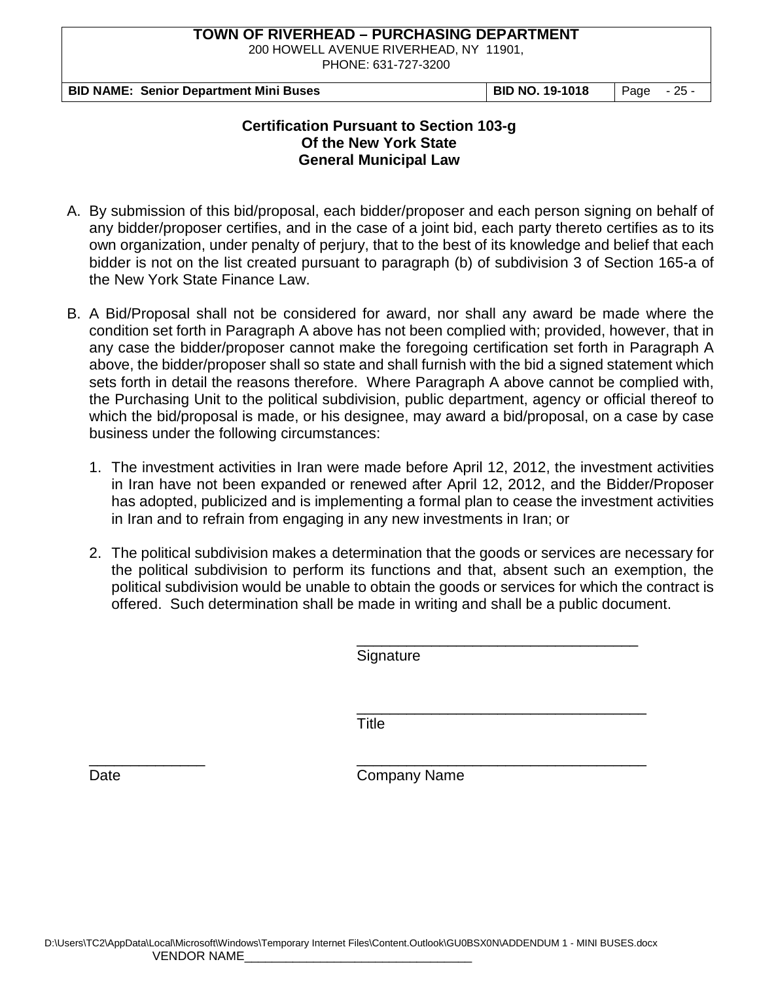200 HOWELL AVENUE RIVERHEAD, NY 11901,

PHONE: 631-727-3200

|  | <b>BID NAME: Senior Department Mini Buses</b> |  |
|--|-----------------------------------------------|--|
|--|-----------------------------------------------|--|

**BID NO. 19-1018** Page - 25 -

### **Certification Pursuant to Section 103-g Of the New York State General Municipal Law**

- A. By submission of this bid/proposal, each bidder/proposer and each person signing on behalf of any bidder/proposer certifies, and in the case of a joint bid, each party thereto certifies as to its own organization, under penalty of perjury, that to the best of its knowledge and belief that each bidder is not on the list created pursuant to paragraph (b) of subdivision 3 of Section 165-a of the New York State Finance Law.
- B. A Bid/Proposal shall not be considered for award, nor shall any award be made where the condition set forth in Paragraph A above has not been complied with; provided, however, that in any case the bidder/proposer cannot make the foregoing certification set forth in Paragraph A above, the bidder/proposer shall so state and shall furnish with the bid a signed statement which sets forth in detail the reasons therefore. Where Paragraph A above cannot be complied with, the Purchasing Unit to the political subdivision, public department, agency or official thereof to which the bid/proposal is made, or his designee, may award a bid/proposal, on a case by case business under the following circumstances:
	- 1. The investment activities in Iran were made before April 12, 2012, the investment activities in Iran have not been expanded or renewed after April 12, 2012, and the Bidder/Proposer has adopted, publicized and is implementing a formal plan to cease the investment activities in Iran and to refrain from engaging in any new investments in Iran; or
	- 2. The political subdivision makes a determination that the goods or services are necessary for the political subdivision to perform its functions and that, absent such an exemption, the political subdivision would be unable to obtain the goods or services for which the contract is offered. Such determination shall be made in writing and shall be a public document.

\_\_\_\_\_\_\_\_\_\_\_\_\_\_\_\_\_\_\_\_\_\_\_\_\_\_\_\_\_\_\_\_\_\_ **Signature** 

\_\_\_\_\_\_\_\_\_\_\_\_\_\_\_\_\_\_\_\_\_\_\_\_\_\_\_\_\_\_\_\_\_\_\_ **Title** 

\_\_\_\_\_\_\_\_\_\_\_\_\_\_ \_\_\_\_\_\_\_\_\_\_\_\_\_\_\_\_\_\_\_\_\_\_\_\_\_\_\_\_\_\_\_\_\_\_\_ Date **Company Name**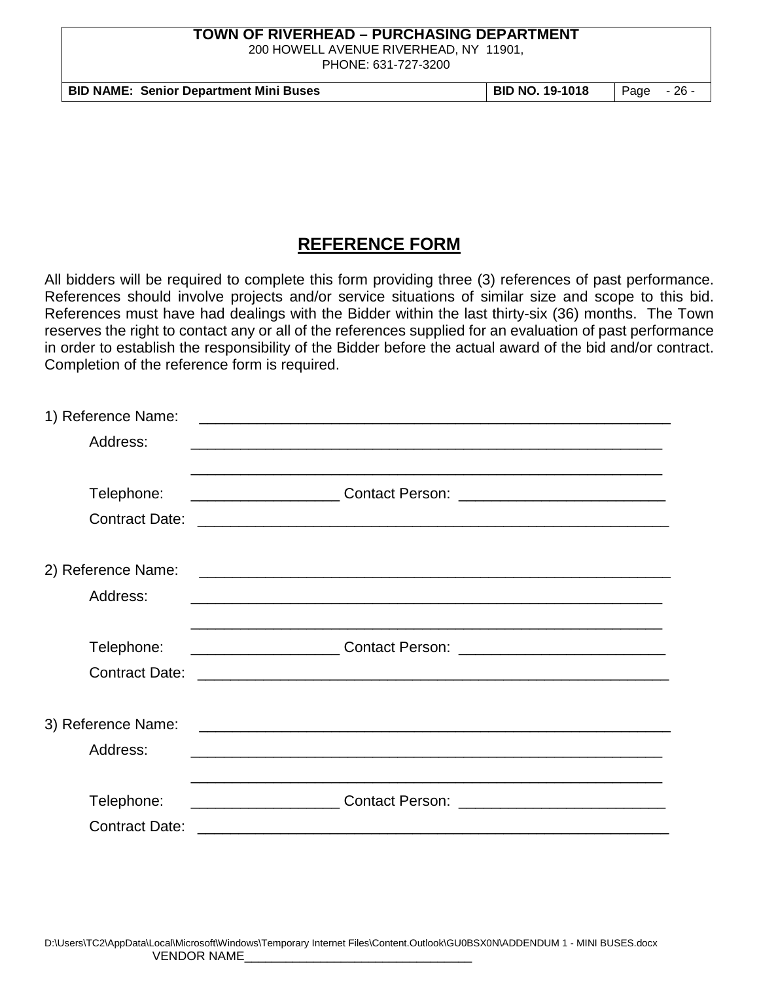200 HOWELL AVENUE RIVERHEAD, NY 11901,

PHONE: 631-727-3200

**BID NAME: Senior Department Mini Buses BID NO. 19-1018** Page - 26 -

# **REFERENCE FORM**

All bidders will be required to complete this form providing three (3) references of past performance. References should involve projects and/or service situations of similar size and scope to this bid. References must have had dealings with the Bidder within the last thirty-six (36) months. The Town reserves the right to contact any or all of the references supplied for an evaluation of past performance in order to establish the responsibility of the Bidder before the actual award of the bid and/or contract. Completion of the reference form is required.

| 1) Reference Name:    | <u> 1989 - Johann John Stone, market fra de franceske foarmen fan de ferske fan de ferske fan de ferske fan de f</u> |  |
|-----------------------|----------------------------------------------------------------------------------------------------------------------|--|
| Address:              |                                                                                                                      |  |
|                       |                                                                                                                      |  |
| Telephone:            | <u> 1980 - Johann Barn, amerikan bernama di sebagai bernama dalam bernama dalam bernama dalam bernama dalam bern</u> |  |
| <b>Contract Date:</b> |                                                                                                                      |  |
|                       |                                                                                                                      |  |
| 2) Reference Name:    |                                                                                                                      |  |
| Address:              |                                                                                                                      |  |
|                       |                                                                                                                      |  |
| Telephone:            |                                                                                                                      |  |
| <b>Contract Date:</b> |                                                                                                                      |  |
|                       |                                                                                                                      |  |
| 3) Reference Name:    |                                                                                                                      |  |
| Address:              | <u> 1989 - Jan James James James James James James James James James James James James James James James James J</u> |  |
|                       |                                                                                                                      |  |
| Telephone:            |                                                                                                                      |  |
| <b>Contract Date:</b> |                                                                                                                      |  |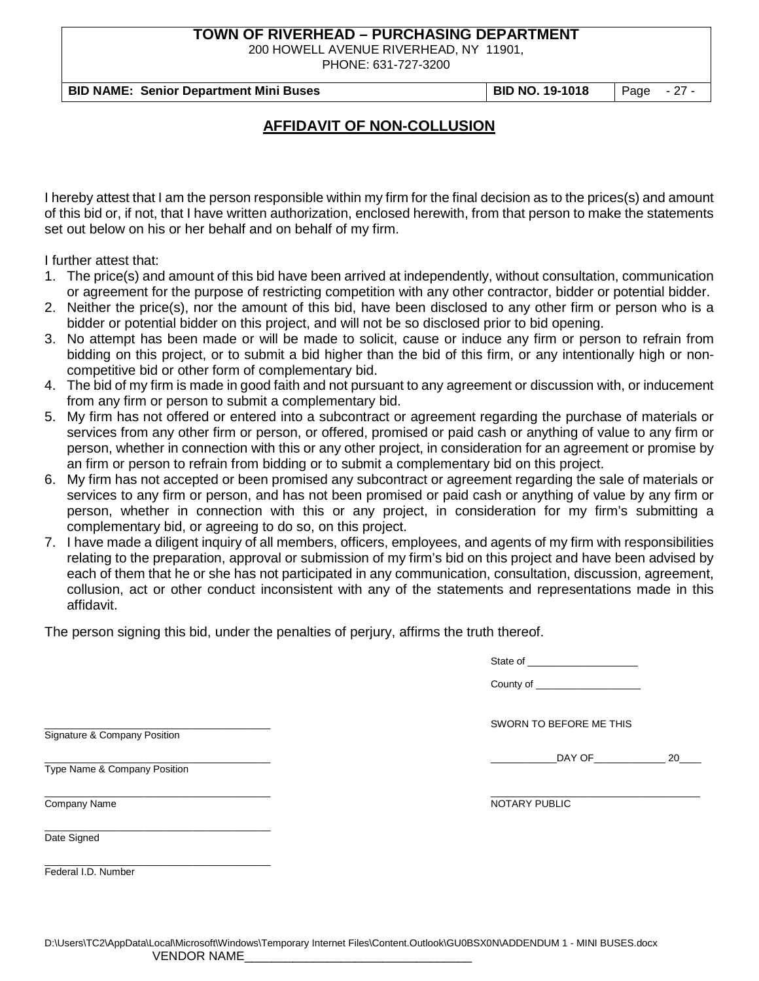200 HOWELL AVENUE RIVERHEAD, NY 11901,

PHONE: 631-727-3200

**BID NAME: Senior Department Mini Buses BID NO. 19-1018** Page - 27 -

## **AFFIDAVIT OF NON-COLLUSION**

I hereby attest that I am the person responsible within my firm for the final decision as to the prices(s) and amount of this bid or, if not, that I have written authorization, enclosed herewith, from that person to make the statements set out below on his or her behalf and on behalf of my firm.

I further attest that:

- 1. The price(s) and amount of this bid have been arrived at independently, without consultation, communication or agreement for the purpose of restricting competition with any other contractor, bidder or potential bidder.
- 2. Neither the price(s), nor the amount of this bid, have been disclosed to any other firm or person who is a bidder or potential bidder on this project, and will not be so disclosed prior to bid opening.
- 3. No attempt has been made or will be made to solicit, cause or induce any firm or person to refrain from bidding on this project, or to submit a bid higher than the bid of this firm, or any intentionally high or noncompetitive bid or other form of complementary bid.
- 4. The bid of my firm is made in good faith and not pursuant to any agreement or discussion with, or inducement from any firm or person to submit a complementary bid.
- 5. My firm has not offered or entered into a subcontract or agreement regarding the purchase of materials or services from any other firm or person, or offered, promised or paid cash or anything of value to any firm or person, whether in connection with this or any other project, in consideration for an agreement or promise by an firm or person to refrain from bidding or to submit a complementary bid on this project.
- 6. My firm has not accepted or been promised any subcontract or agreement regarding the sale of materials or services to any firm or person, and has not been promised or paid cash or anything of value by any firm or person, whether in connection with this or any project, in consideration for my firm's submitting a complementary bid, or agreeing to do so, on this project.
- 7. I have made a diligent inquiry of all members, officers, employees, and agents of my firm with responsibilities relating to the preparation, approval or submission of my firm's bid on this project and have been advised by each of them that he or she has not participated in any communication, consultation, discussion, agreement, collusion, act or other conduct inconsistent with any of the statements and representations made in this affidavit.

The person signing this bid, under the penalties of perjury, affirms the truth thereof.

| State of |  |  |
|----------|--|--|
|          |  |  |

| County of |  |
|-----------|--|
|-----------|--|

SWORN TO BEFORE ME THIS

 $20$ 

Signature & Company Position

Type Name & Company Position

\_\_\_\_\_\_\_\_\_\_\_\_\_\_\_\_\_\_\_\_\_\_\_\_\_\_\_\_\_\_\_\_\_\_\_\_\_\_\_\_\_

\_\_\_\_\_\_\_\_\_\_\_\_\_\_\_\_\_\_\_\_\_\_\_\_\_\_\_\_\_\_\_\_\_\_\_\_\_\_\_\_\_ \_\_\_\_\_\_\_\_\_\_\_\_\_\_\_\_\_\_\_\_\_\_\_\_\_\_\_\_\_\_\_\_\_\_\_\_\_\_

Company Name NOTARY PUBLIC

Date Signed

\_\_\_\_\_\_\_\_\_\_\_\_\_\_\_\_\_\_\_\_\_\_\_\_\_\_\_\_\_\_\_\_\_\_\_\_\_\_\_\_\_ Federal I.D. Number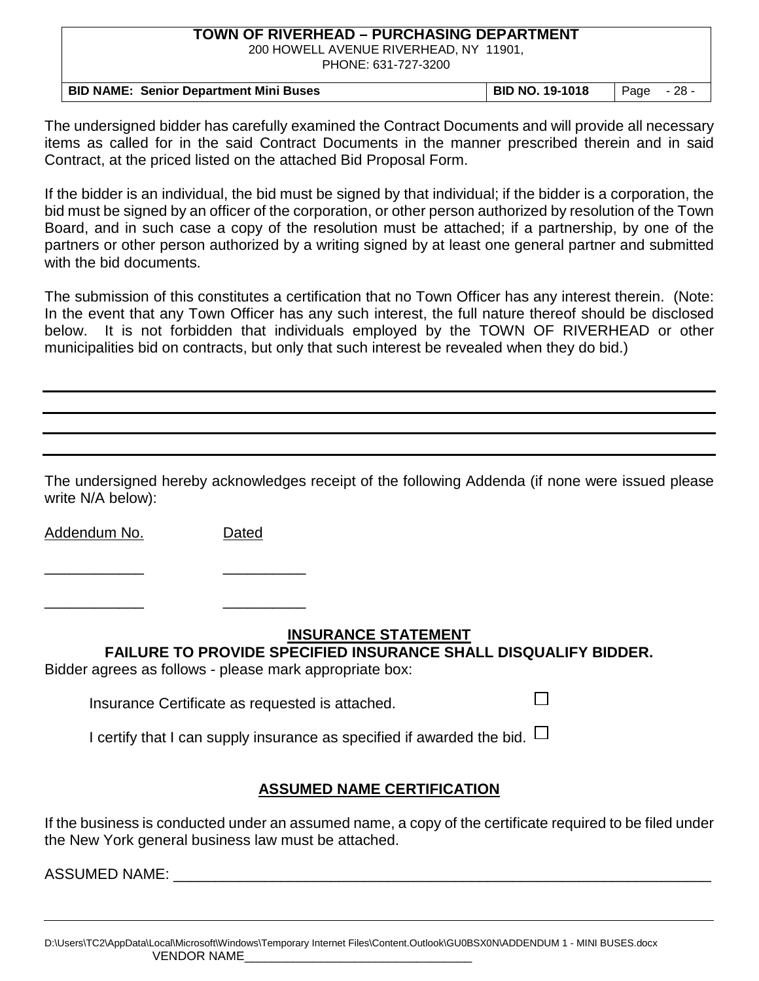200 HOWELL AVENUE RIVERHEAD, NY 11901, PHONE: 631-727-3200

| <b>BID NAME: Senior Department Mini Buses</b> | <b>BID NO. 19-1018</b> | Page | $-28$ |
|-----------------------------------------------|------------------------|------|-------|

The undersigned bidder has carefully examined the Contract Documents and will provide all necessary items as called for in the said Contract Documents in the manner prescribed therein and in said Contract, at the priced listed on the attached Bid Proposal Form.

If the bidder is an individual, the bid must be signed by that individual; if the bidder is a corporation, the bid must be signed by an officer of the corporation, or other person authorized by resolution of the Town Board, and in such case a copy of the resolution must be attached; if a partnership, by one of the partners or other person authorized by a writing signed by at least one general partner and submitted with the bid documents.

The submission of this constitutes a certification that no Town Officer has any interest therein. (Note: In the event that any Town Officer has any such interest, the full nature thereof should be disclosed below. It is not forbidden that individuals employed by the TOWN OF RIVERHEAD or other municipalities bid on contracts, but only that such interest be revealed when they do bid.)

The undersigned hereby acknowledges receipt of the following Addenda (if none were issued please write N/A below):

Addendum No. Dated

\_\_\_\_\_\_\_\_\_\_\_\_ \_\_\_\_\_\_\_\_\_\_

\_\_\_\_\_\_\_\_\_\_\_\_ \_\_\_\_\_\_\_\_\_\_

## **INSURANCE STATEMENT**

П

**FAILURE TO PROVIDE SPECIFIED INSURANCE SHALL DISQUALIFY BIDDER.**

Bidder agrees as follows - please mark appropriate box:

Insurance Certificate as requested is attached.

I certify that I can supply insurance as specified if awarded the bid.  $\Box$ 

# **ASSUMED NAME CERTIFICATION**

If the business is conducted under an assumed name, a copy of the certificate required to be filed under the New York general business law must be attached.

ASSUMED NAME: \_\_\_\_\_\_\_\_\_\_\_\_\_\_\_\_\_\_\_\_\_\_\_\_\_\_\_\_\_\_\_\_\_\_\_\_\_\_\_\_\_\_\_\_\_\_\_\_\_\_\_\_\_\_\_\_\_\_\_\_\_\_\_\_\_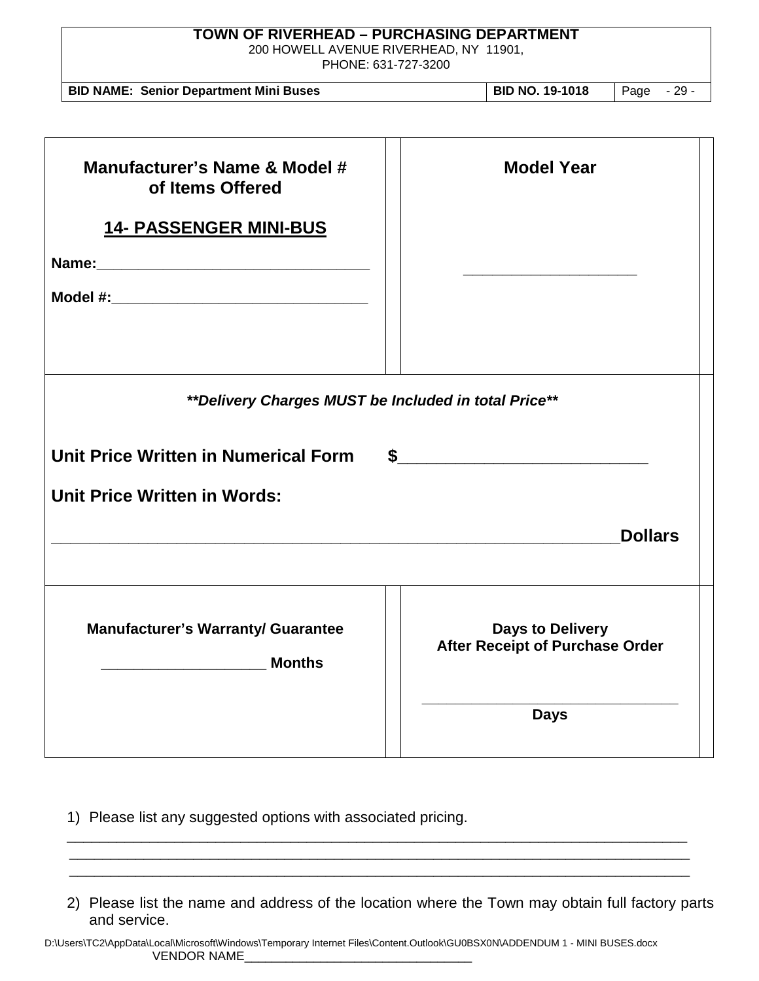| <b>TOWN OF RIVERHEAD - PURCHASING DEPARTMENT</b><br>200 HOWELL AVENUE RIVERHEAD, NY 11901,<br>PHONE: 631-727-3200 |                                                                   |  |  |  |  |
|-------------------------------------------------------------------------------------------------------------------|-------------------------------------------------------------------|--|--|--|--|
| <b>BID NAME: Senior Department Mini Buses</b>                                                                     | <b>BID NO. 19-1018</b><br>Page - 29 -                             |  |  |  |  |
| Manufacturer's Name & Model #<br>of Items Offered                                                                 | <b>Model Year</b>                                                 |  |  |  |  |
| <b>14- PASSENGER MINI-BUS</b>                                                                                     |                                                                   |  |  |  |  |
|                                                                                                                   |                                                                   |  |  |  |  |
|                                                                                                                   |                                                                   |  |  |  |  |
| **Delivery Charges MUST be Included in total Price**                                                              |                                                                   |  |  |  |  |
| Unit Price Written in Numerical Form                                                                              |                                                                   |  |  |  |  |
| <b>Unit Price Written in Words:</b>                                                                               |                                                                   |  |  |  |  |
|                                                                                                                   | <b>Dollars</b>                                                    |  |  |  |  |
|                                                                                                                   |                                                                   |  |  |  |  |
| <b>Manufacturer's Warranty/ Guarantee</b><br><b>Months</b>                                                        | <b>Days to Delivery</b><br><b>After Receipt of Purchase Order</b> |  |  |  |  |
|                                                                                                                   | <b>Days</b>                                                       |  |  |  |  |

- 1) Please list any suggested options with associated pricing. \_\_\_\_\_\_\_\_\_\_\_\_\_\_\_\_\_\_\_\_\_\_\_\_\_\_\_\_\_\_\_\_\_\_\_\_\_\_\_\_\_\_\_\_\_\_\_\_\_\_\_\_\_\_\_\_\_\_\_\_\_\_\_\_\_\_\_\_\_\_\_\_\_\_\_
- 2) Please list the name and address of the location where the Town may obtain full factory parts and service.

 \_\_\_\_\_\_\_\_\_\_\_\_\_\_\_\_\_\_\_\_\_\_\_\_\_\_\_\_\_\_\_\_\_\_\_\_\_\_\_\_\_\_\_\_\_\_\_\_\_\_\_\_\_\_\_\_\_\_\_\_\_\_\_\_\_\_\_\_\_\_\_\_\_\_\_ \_\_\_\_\_\_\_\_\_\_\_\_\_\_\_\_\_\_\_\_\_\_\_\_\_\_\_\_\_\_\_\_\_\_\_\_\_\_\_\_\_\_\_\_\_\_\_\_\_\_\_\_\_\_\_\_\_\_\_\_\_\_\_\_\_\_\_\_\_\_\_\_\_\_\_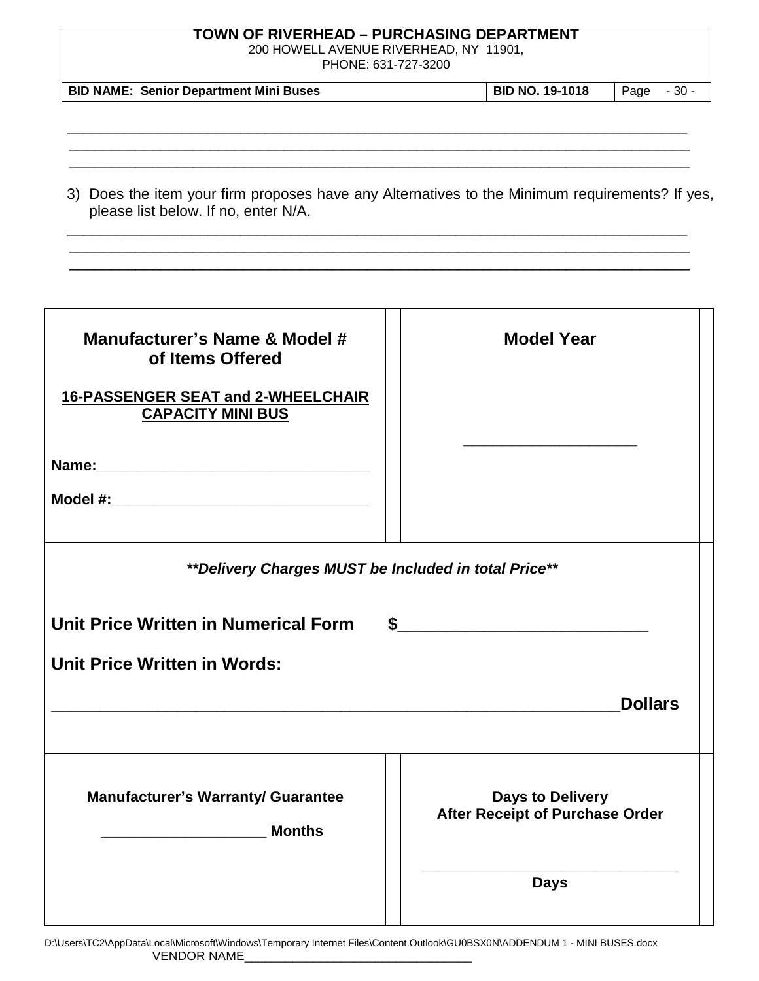200 HOWELL AVENUE RIVERHEAD, NY 11901,

PHONE: 631-727-3200

| <b>BID NAME: Senior Department Mini Buses</b> | <b>BID NO. 19-1018</b> | l Page - 30 - |  |
|-----------------------------------------------|------------------------|---------------|--|
|-----------------------------------------------|------------------------|---------------|--|

\_\_\_\_\_\_\_\_\_\_\_\_\_\_\_\_\_\_\_\_\_\_\_\_\_\_\_\_\_\_\_\_\_\_\_\_\_\_\_\_\_\_\_\_\_\_\_\_\_\_\_\_\_\_\_\_\_\_\_\_\_\_\_\_\_\_\_\_\_\_\_\_\_\_\_ \_\_\_\_\_\_\_\_\_\_\_\_\_\_\_\_\_\_\_\_\_\_\_\_\_\_\_\_\_\_\_\_\_\_\_\_\_\_\_\_\_\_\_\_\_\_\_\_\_\_\_\_\_\_\_\_\_\_\_\_\_\_\_\_\_\_\_\_\_\_\_\_\_\_\_ \_\_\_\_\_\_\_\_\_\_\_\_\_\_\_\_\_\_\_\_\_\_\_\_\_\_\_\_\_\_\_\_\_\_\_\_\_\_\_\_\_\_\_\_\_\_\_\_\_\_\_\_\_\_\_\_\_\_\_\_\_\_\_\_\_\_\_\_\_\_\_\_\_\_\_

| 3) Does the item your firm proposes have any Alternatives to the Minimum requirements? If yes, |  |
|------------------------------------------------------------------------------------------------|--|
| please list below. If no, enter N/A.                                                           |  |

\_\_\_\_\_\_\_\_\_\_\_\_\_\_\_\_\_\_\_\_\_\_\_\_\_\_\_\_\_\_\_\_\_\_\_\_\_\_\_\_\_\_\_\_\_\_\_\_\_\_\_\_\_\_\_\_\_\_\_\_\_\_\_\_\_\_\_\_\_\_\_\_\_\_\_ \_\_\_\_\_\_\_\_\_\_\_\_\_\_\_\_\_\_\_\_\_\_\_\_\_\_\_\_\_\_\_\_\_\_\_\_\_\_\_\_\_\_\_\_\_\_\_\_\_\_\_\_\_\_\_\_\_\_\_\_\_\_\_\_\_\_\_\_\_\_\_\_\_\_\_ \_\_\_\_\_\_\_\_\_\_\_\_\_\_\_\_\_\_\_\_\_\_\_\_\_\_\_\_\_\_\_\_\_\_\_\_\_\_\_\_\_\_\_\_\_\_\_\_\_\_\_\_\_\_\_\_\_\_\_\_\_\_\_\_\_\_\_\_\_\_\_\_\_\_\_

| Manufacturer's Name & Model #<br>of Items Offered<br>16-PASSENGER SEAT and 2-WHEELCHAIR<br><b>CAPACITY MINI BUS</b> | <b>Model Year</b>                                                 |
|---------------------------------------------------------------------------------------------------------------------|-------------------------------------------------------------------|
| **Delivery Charges MUST be Included in total Price**                                                                |                                                                   |
| Unit Price Written in Numerical Form                                                                                |                                                                   |
| <b>Unit Price Written in Words:</b>                                                                                 |                                                                   |
|                                                                                                                     | <b>Dollars</b>                                                    |
|                                                                                                                     |                                                                   |
| <b>Manufacturer's Warranty/ Guarantee</b><br>_____________________________ Months                                   | <b>Days to Delivery</b><br><b>After Receipt of Purchase Order</b> |
|                                                                                                                     | <b>Days</b>                                                       |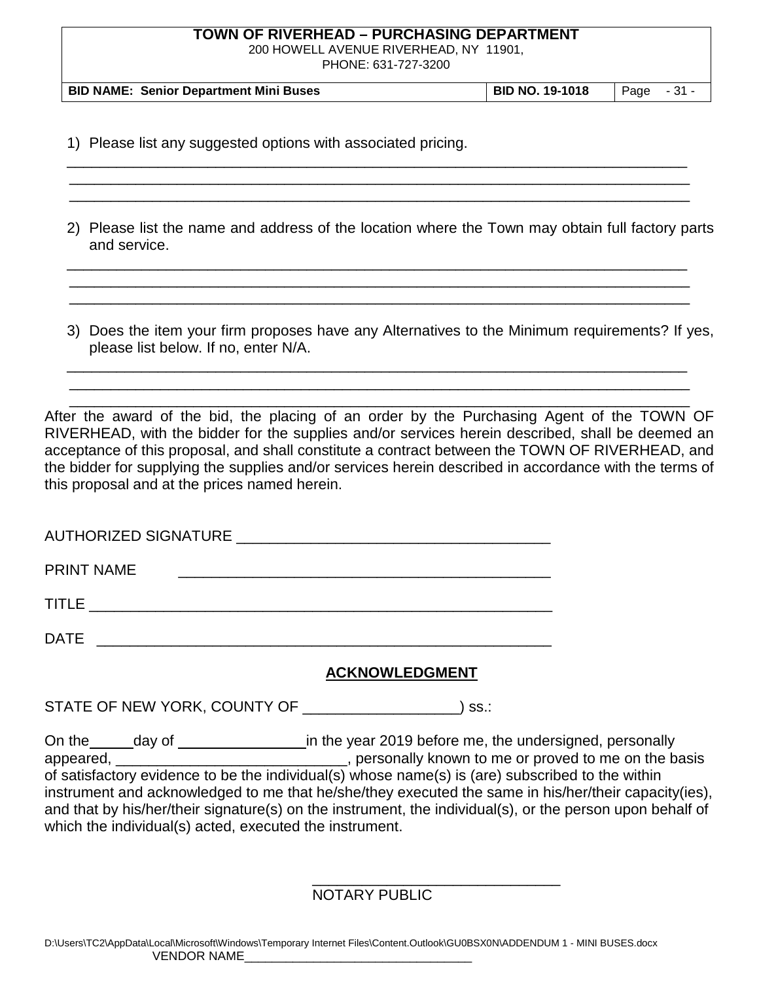200 HOWELL AVENUE RIVERHEAD, NY 11901,

PHONE: 631-727-3200

| <b>BID NAME: Senior Department Mini Buses</b><br>  BID NO. 19-1018<br>$\vert$ Page $\vert$ - 31 - |
|---------------------------------------------------------------------------------------------------|
|---------------------------------------------------------------------------------------------------|

\_\_\_\_\_\_\_\_\_\_\_\_\_\_\_\_\_\_\_\_\_\_\_\_\_\_\_\_\_\_\_\_\_\_\_\_\_\_\_\_\_\_\_\_\_\_\_\_\_\_\_\_\_\_\_\_\_\_\_\_\_\_\_\_\_\_\_\_\_\_\_\_\_\_\_ \_\_\_\_\_\_\_\_\_\_\_\_\_\_\_\_\_\_\_\_\_\_\_\_\_\_\_\_\_\_\_\_\_\_\_\_\_\_\_\_\_\_\_\_\_\_\_\_\_\_\_\_\_\_\_\_\_\_\_\_\_\_\_\_\_\_\_\_\_\_\_\_\_\_\_ \_\_\_\_\_\_\_\_\_\_\_\_\_\_\_\_\_\_\_\_\_\_\_\_\_\_\_\_\_\_\_\_\_\_\_\_\_\_\_\_\_\_\_\_\_\_\_\_\_\_\_\_\_\_\_\_\_\_\_\_\_\_\_\_\_\_\_\_\_\_\_\_\_\_\_

1) Please list any suggested options with associated pricing.

2) Please list the name and address of the location where the Town may obtain full factory parts and service.

\_\_\_\_\_\_\_\_\_\_\_\_\_\_\_\_\_\_\_\_\_\_\_\_\_\_\_\_\_\_\_\_\_\_\_\_\_\_\_\_\_\_\_\_\_\_\_\_\_\_\_\_\_\_\_\_\_\_\_\_\_\_\_\_\_\_\_\_\_\_\_\_\_\_\_ \_\_\_\_\_\_\_\_\_\_\_\_\_\_\_\_\_\_\_\_\_\_\_\_\_\_\_\_\_\_\_\_\_\_\_\_\_\_\_\_\_\_\_\_\_\_\_\_\_\_\_\_\_\_\_\_\_\_\_\_\_\_\_\_\_\_\_\_\_\_\_\_\_\_\_ \_\_\_\_\_\_\_\_\_\_\_\_\_\_\_\_\_\_\_\_\_\_\_\_\_\_\_\_\_\_\_\_\_\_\_\_\_\_\_\_\_\_\_\_\_\_\_\_\_\_\_\_\_\_\_\_\_\_\_\_\_\_\_\_\_\_\_\_\_\_\_\_\_\_\_

3) Does the item your firm proposes have any Alternatives to the Minimum requirements? If yes, please list below. If no, enter N/A.

\_\_\_\_\_\_\_\_\_\_\_\_\_\_\_\_\_\_\_\_\_\_\_\_\_\_\_\_\_\_\_\_\_\_\_\_\_\_\_\_\_\_\_\_\_\_\_\_\_\_\_\_\_\_\_\_\_\_\_\_\_\_\_\_\_\_\_\_\_\_\_\_\_\_\_ \_\_\_\_\_\_\_\_\_\_\_\_\_\_\_\_\_\_\_\_\_\_\_\_\_\_\_\_\_\_\_\_\_\_\_\_\_\_\_\_\_\_\_\_\_\_\_\_\_\_\_\_\_\_\_\_\_\_\_\_\_\_\_\_\_\_\_\_\_\_\_\_\_\_\_

 \_\_\_\_\_\_\_\_\_\_\_\_\_\_\_\_\_\_\_\_\_\_\_\_\_\_\_\_\_\_\_\_\_\_\_\_\_\_\_\_\_\_\_\_\_\_\_\_\_\_\_\_\_\_\_\_\_\_\_\_\_\_\_\_\_\_\_\_\_\_\_\_\_\_\_ After the award of the bid, the placing of an order by the Purchasing Agent of the TOWN OF RIVERHEAD, with the bidder for the supplies and/or services herein described, shall be deemed an acceptance of this proposal, and shall constitute a contract between the TOWN OF RIVERHEAD, and the bidder for supplying the supplies and/or services herein described in accordance with the terms of this proposal and at the prices named herein.

| AUTHORIZED SIGNATURE _ |  |  |  |  |
|------------------------|--|--|--|--|
| <b>PRINT NAME</b>      |  |  |  |  |
| TITLE                  |  |  |  |  |
| DATE                   |  |  |  |  |

## **ACKNOWLEDGMENT**

STATE OF NEW YORK, COUNTY OF \_\_\_\_\_\_\_\_\_\_\_\_\_\_\_\_\_\_\_) ss.:

On the day of data day definition the year 2019 before me, the undersigned, personally appeared, \_\_\_\_\_\_\_\_\_\_\_\_\_\_\_\_\_\_\_\_\_\_\_\_\_\_\_\_\_\_, personally known to me or proved to me on the basis of satisfactory evidence to be the individual(s) whose name(s) is (are) subscribed to the within instrument and acknowledged to me that he/she/they executed the same in his/her/their capacity(ies), and that by his/her/their signature(s) on the instrument, the individual(s), or the person upon behalf of which the individual(s) acted, executed the instrument.

> \_\_\_\_\_\_\_\_\_\_\_\_\_\_\_\_\_\_\_\_\_\_\_\_\_\_\_\_\_\_ NOTARY PUBLIC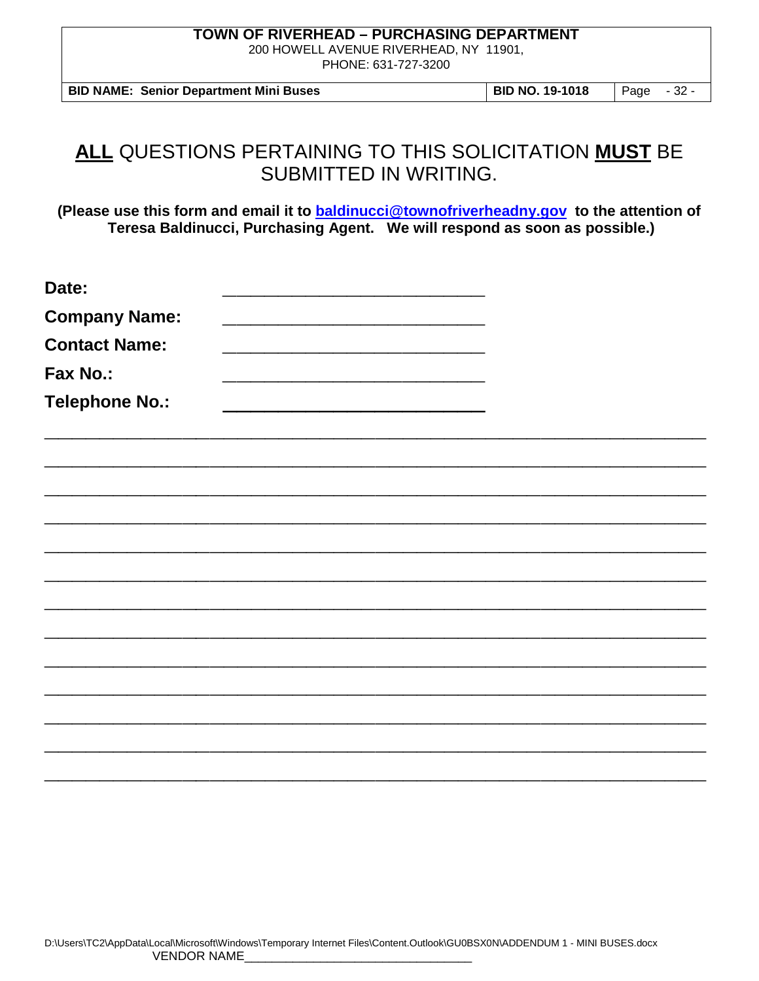200 HOWELL AVENUE RIVERHEAD, NY 11901, PHONE: 631-727-3200

**BID NAME: Senior Department Mini Buses BID NO. 19-1018** Page - 32 -

# **ALL** QUESTIONS PERTAINING TO THIS SOLICITATION **MUST** BE SUBMITTED IN WRITING.

**(Please use this form and email it to [baldinucci@townofriverheadny.gov](mailto:baldinucci@townofriverheadny.gov) to the attention of Teresa Baldinucci, Purchasing Agent. We will respond as soon as possible.)**

| Date:                 |  |  |
|-----------------------|--|--|
| <b>Company Name:</b>  |  |  |
| <b>Contact Name:</b>  |  |  |
| Fax No.:              |  |  |
| <b>Telephone No.:</b> |  |  |
|                       |  |  |
|                       |  |  |
|                       |  |  |
|                       |  |  |
|                       |  |  |
|                       |  |  |
|                       |  |  |
|                       |  |  |
|                       |  |  |
|                       |  |  |
|                       |  |  |
|                       |  |  |
|                       |  |  |